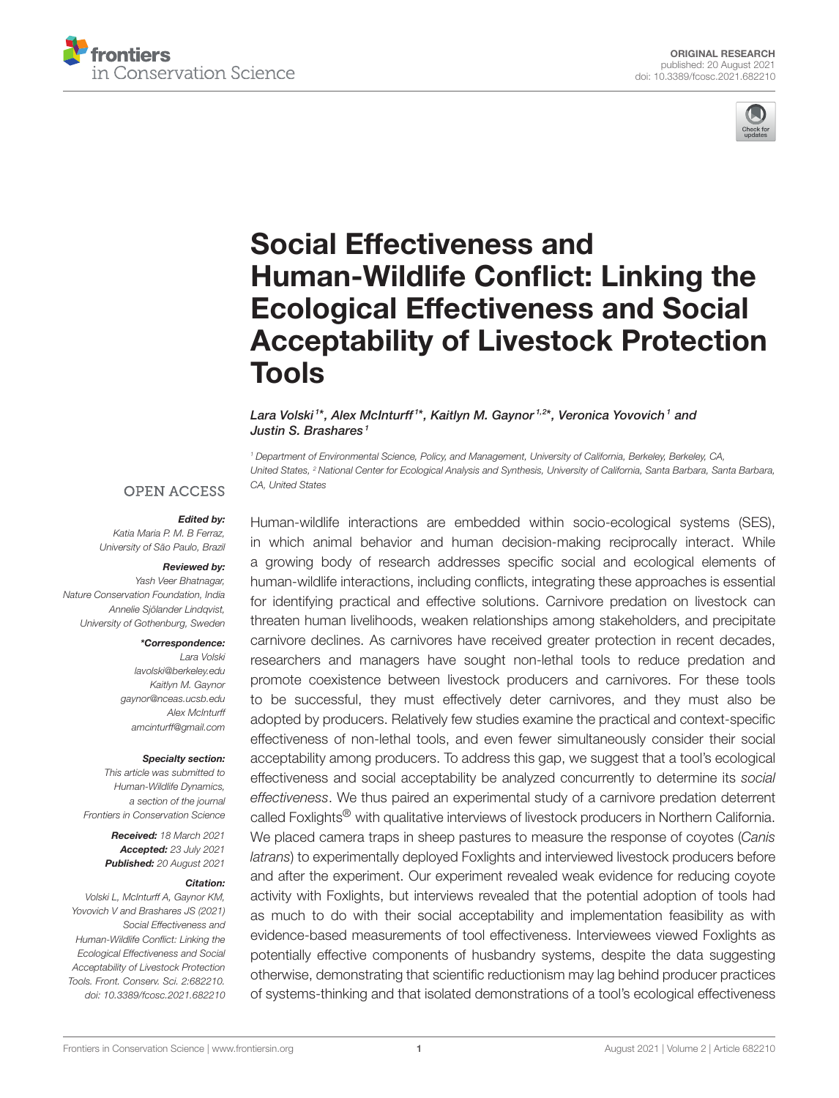



# Social Effectiveness and Human-Wildlife Conflict: Linking the Ecological Effectiveness and Social [Acceptability of Livestock Protection](https://www.frontiersin.org/articles/10.3389/fcosc.2021.682210/full) Tools

Lara Volski1\*, Alex McInturff1\*, Kaitlyn M. Gaynor1,2\*, Veronica Yovovich1 and Justin S. Brashares<sup>1</sup>

<sup>1</sup> Department of Environmental Science, Policy, and Management, University of California, Berkeley, Berkeley, CA, United States, <sup>2</sup> National Center for Ecological Analysis and Synthesis, University of California, Santa Barbara, Santa Barbara, CA, United States

#### **OPEN ACCESS**

#### Edited by:

Katia Maria P. M. B Ferraz, University of São Paulo, Brazil

#### Reviewed by:

Yash Veer Bhatnagar, Nature Conservation Foundation, India Annelie Sjölander Lindqvist, University of Gothenburg, Sweden

#### \*Correspondence:

Lara Volski [lavolski@berkeley.edu](mailto:lavolski@berkeley.edu) Kaitlyn M. Gaynor [gaynor@nceas.ucsb.edu](mailto:gaynor@nceas.ucsb.edu) Alex McInturff [amcinturff@gmail.com](mailto:amcinturff@gmail.com)

#### Specialty section:

This article was submitted to Human-Wildlife Dynamics, a section of the journal Frontiers in Conservation Science

> Received: 18 March 2021 Accepted: 23 July 2021 Published: 20 August 2021

#### Citation:

Volski L, McInturff A, Gaynor KM, Yovovich V and Brashares JS (2021) Social Effectiveness and Human-Wildlife Conflict: Linking the Ecological Effectiveness and Social Acceptability of Livestock Protection Tools. Front. Conserv. Sci. 2:682210. doi: [10.3389/fcosc.2021.682210](https://doi.org/10.3389/fcosc.2021.682210)

Human-wildlife interactions are embedded within socio-ecological systems (SES), in which animal behavior and human decision-making reciprocally interact. While a growing body of research addresses specific social and ecological elements of human-wildlife interactions, including conflicts, integrating these approaches is essential for identifying practical and effective solutions. Carnivore predation on livestock can threaten human livelihoods, weaken relationships among stakeholders, and precipitate carnivore declines. As carnivores have received greater protection in recent decades, researchers and managers have sought non-lethal tools to reduce predation and promote coexistence between livestock producers and carnivores. For these tools to be successful, they must effectively deter carnivores, and they must also be adopted by producers. Relatively few studies examine the practical and context-specific effectiveness of non-lethal tools, and even fewer simultaneously consider their social acceptability among producers. To address this gap, we suggest that a tool's ecological effectiveness and social acceptability be analyzed concurrently to determine its social effectiveness. We thus paired an experimental study of a carnivore predation deterrent called Foxlights<sup>®</sup> with qualitative interviews of livestock producers in Northern California. We placed camera traps in sheep pastures to measure the response of coyotes (Canis latrans) to experimentally deployed Foxlights and interviewed livestock producers before and after the experiment. Our experiment revealed weak evidence for reducing coyote activity with Foxlights, but interviews revealed that the potential adoption of tools had as much to do with their social acceptability and implementation feasibility as with evidence-based measurements of tool effectiveness. Interviewees viewed Foxlights as potentially effective components of husbandry systems, despite the data suggesting otherwise, demonstrating that scientific reductionism may lag behind producer practices of systems-thinking and that isolated demonstrations of a tool's ecological effectiveness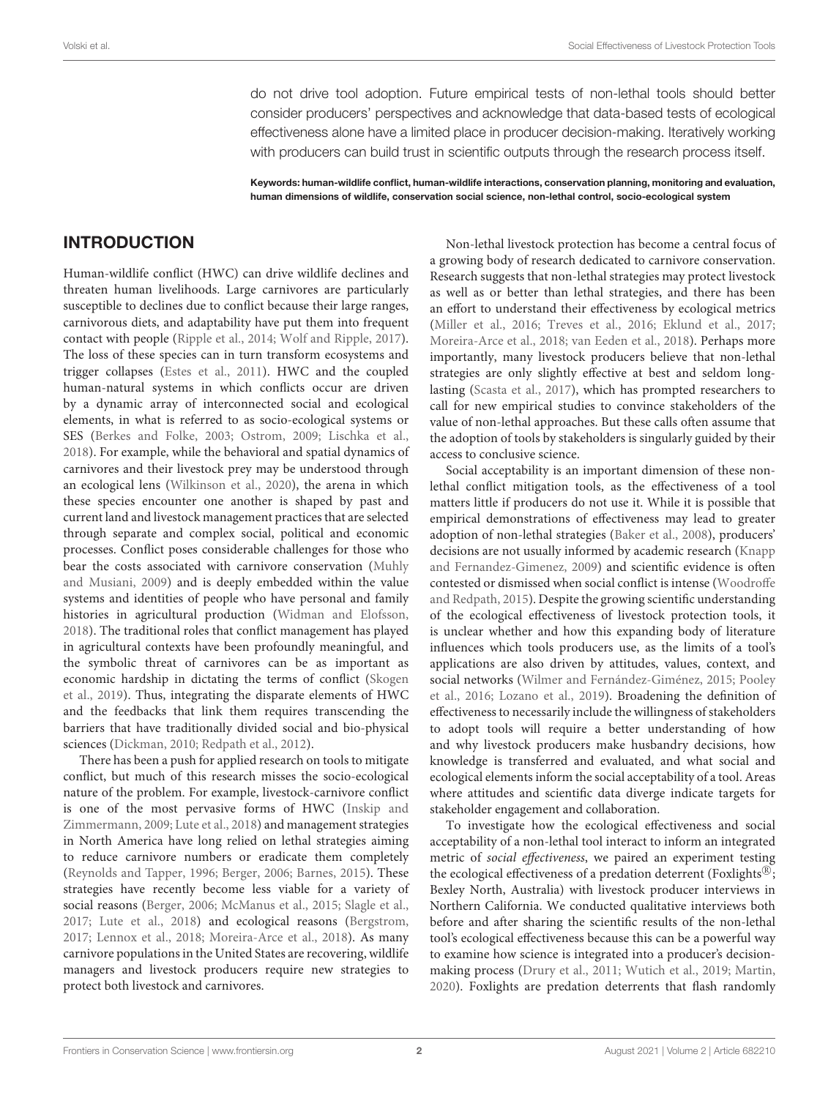do not drive tool adoption. Future empirical tests of non-lethal tools should better consider producers' perspectives and acknowledge that data-based tests of ecological effectiveness alone have a limited place in producer decision-making. Iteratively working with producers can build trust in scientific outputs through the research process itself.

Keywords: human-wildlife conflict, human-wildlife interactions, conservation planning, monitoring and evaluation, human dimensions of wildlife, conservation social science, non-lethal control, socio-ecological system

#### INTRODUCTION

Human-wildlife conflict (HWC) can drive wildlife declines and threaten human livelihoods. Large carnivores are particularly susceptible to declines due to conflict because their large ranges, carnivorous diets, and adaptability have put them into frequent contact with people [\(Ripple et al., 2014;](#page-16-0) [Wolf and Ripple, 2017\)](#page-16-1). The loss of these species can in turn transform ecosystems and trigger collapses [\(Estes et al., 2011\)](#page-15-0). HWC and the coupled human-natural systems in which conflicts occur are driven by a dynamic array of interconnected social and ecological elements, in what is referred to as socio-ecological systems or SES [\(Berkes and Folke, 2003;](#page-14-0) [Ostrom, 2009;](#page-16-2) [Lischka et al.,](#page-15-1) [2018\)](#page-15-1). For example, while the behavioral and spatial dynamics of carnivores and their livestock prey may be understood through an ecological lens [\(Wilkinson et al., 2020\)](#page-16-3), the arena in which these species encounter one another is shaped by past and current land and livestock management practices that are selected through separate and complex social, political and economic processes. Conflict poses considerable challenges for those who bear the costs associated with carnivore conservation (Muhly and Musiani, [2009\)](#page-15-2) and is deeply embedded within the value systems and identities of people who have personal and family histories in agricultural production [\(Widman and Elofsson,](#page-16-4) [2018\)](#page-16-4). The traditional roles that conflict management has played in agricultural contexts have been profoundly meaningful, and the symbolic threat of carnivores can be as important as economic hardship in dictating the terms of conflict (Skogen et al., [2019\)](#page-16-5). Thus, integrating the disparate elements of HWC and the feedbacks that link them requires transcending the barriers that have traditionally divided social and bio-physical sciences [\(Dickman, 2010;](#page-14-1) [Redpath et al., 2012\)](#page-16-6).

There has been a push for applied research on tools to mitigate conflict, but much of this research misses the socio-ecological nature of the problem. For example, livestock-carnivore conflict is one of the most pervasive forms of HWC (Inskip and Zimmermann, [2009;](#page-15-3) [Lute et al., 2018\)](#page-15-4) and management strategies in North America have long relied on lethal strategies aiming to reduce carnivore numbers or eradicate them completely [\(Reynolds and Tapper, 1996;](#page-16-7) [Berger, 2006;](#page-14-2) [Barnes, 2015\)](#page-14-3). These strategies have recently become less viable for a variety of social reasons [\(Berger, 2006;](#page-14-2) [McManus et al., 2015;](#page-15-5) [Slagle et al.,](#page-16-8) [2017;](#page-16-8) [Lute et al., 2018\)](#page-15-4) and ecological reasons [\(Bergstrom,](#page-14-4) [2017;](#page-14-4) [Lennox et al., 2018;](#page-15-6) [Moreira-Arce et al., 2018\)](#page-15-7). As many carnivore populations in the United States are recovering, wildlife managers and livestock producers require new strategies to protect both livestock and carnivores.

Non-lethal livestock protection has become a central focus of a growing body of research dedicated to carnivore conservation. Research suggests that non-lethal strategies may protect livestock as well as or better than lethal strategies, and there has been an effort to understand their effectiveness by ecological metrics [\(Miller et al., 2016;](#page-15-8) [Treves et al., 2016;](#page-16-9) [Eklund et al., 2017;](#page-15-9) [Moreira-Arce et al., 2018;](#page-15-7) [van Eeden et al., 2018\)](#page-16-10). Perhaps more importantly, many livestock producers believe that non-lethal strategies are only slightly effective at best and seldom longlasting [\(Scasta et al., 2017\)](#page-16-11), which has prompted researchers to call for new empirical studies to convince stakeholders of the value of non-lethal approaches. But these calls often assume that the adoption of tools by stakeholders is singularly guided by their access to conclusive science.

Social acceptability is an important dimension of these nonlethal conflict mitigation tools, as the effectiveness of a tool matters little if producers do not use it. While it is possible that empirical demonstrations of effectiveness may lead to greater adoption of non-lethal strategies [\(Baker et al., 2008\)](#page-14-5), producers' decisions are not usually informed by academic research (Knapp and Fernandez-Gimenez, [2009\)](#page-15-10) and scientific evidence is often contested or dismissed when social conflict is intense (Woodroffe and Redpath, [2015\)](#page-16-12). Despite the growing scientific understanding of the ecological effectiveness of livestock protection tools, it is unclear whether and how this expanding body of literature influences which tools producers use, as the limits of a tool's applications are also driven by attitudes, values, context, and social networks [\(Wilmer and Fernández-Giménez, 2015;](#page-16-13) Pooley et al., [2016;](#page-16-14) [Lozano et al., 2019\)](#page-15-11). Broadening the definition of effectiveness to necessarily include the willingness of stakeholders to adopt tools will require a better understanding of how and why livestock producers make husbandry decisions, how knowledge is transferred and evaluated, and what social and ecological elements inform the social acceptability of a tool. Areas where attitudes and scientific data diverge indicate targets for stakeholder engagement and collaboration.

To investigate how the ecological effectiveness and social acceptability of a non-lethal tool interact to inform an integrated metric of social effectiveness, we paired an experiment testing the ecological effectiveness of a predation deterrent (Foxlights®; Bexley North, Australia) with livestock producer interviews in Northern California. We conducted qualitative interviews both before and after sharing the scientific results of the non-lethal tool's ecological effectiveness because this can be a powerful way to examine how science is integrated into a producer's decisionmaking process [\(Drury et al., 2011;](#page-15-12) [Wutich et al., 2019;](#page-16-15) [Martin,](#page-15-13) [2020\)](#page-15-13). Foxlights are predation deterrents that flash randomly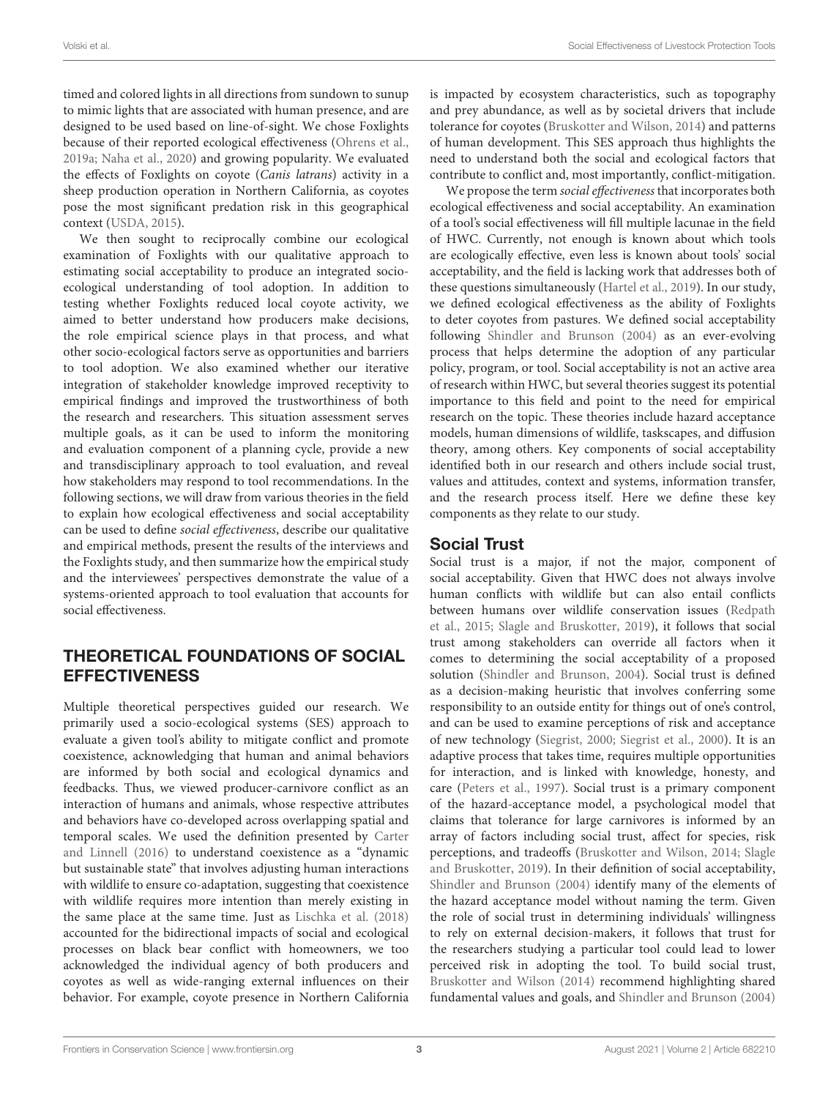timed and colored lights in all directions from sundown to sunup to mimic lights that are associated with human presence, and are designed to be used based on line-of-sight. We chose Foxlights because of their reported ecological effectiveness [\(Ohrens et al.,](#page-15-14) [2019a;](#page-15-14) [Naha et al., 2020\)](#page-15-15) and growing popularity. We evaluated the effects of Foxlights on coyote (Canis latrans) activity in a sheep production operation in Northern California, as coyotes pose the most significant predation risk in this geographical context [\(USDA, 2015\)](#page-16-16).

We then sought to reciprocally combine our ecological examination of Foxlights with our qualitative approach to estimating social acceptability to produce an integrated socioecological understanding of tool adoption. In addition to testing whether Foxlights reduced local coyote activity, we aimed to better understand how producers make decisions, the role empirical science plays in that process, and what other socio-ecological factors serve as opportunities and barriers to tool adoption. We also examined whether our iterative integration of stakeholder knowledge improved receptivity to empirical findings and improved the trustworthiness of both the research and researchers. This situation assessment serves multiple goals, as it can be used to inform the monitoring and evaluation component of a planning cycle, provide a new and transdisciplinary approach to tool evaluation, and reveal how stakeholders may respond to tool recommendations. In the following sections, we will draw from various theories in the field to explain how ecological effectiveness and social acceptability can be used to define social effectiveness, describe our qualitative and empirical methods, present the results of the interviews and the Foxlights study, and then summarize how the empirical study and the interviewees' perspectives demonstrate the value of a systems-oriented approach to tool evaluation that accounts for social effectiveness.

# THEORETICAL FOUNDATIONS OF SOCIAL **EFFECTIVENESS**

Multiple theoretical perspectives guided our research. We primarily used a socio-ecological systems (SES) approach to evaluate a given tool's ability to mitigate conflict and promote coexistence, acknowledging that human and animal behaviors are informed by both social and ecological dynamics and feedbacks. Thus, we viewed producer-carnivore conflict as an interaction of humans and animals, whose respective attributes and behaviors have co-developed across overlapping spatial and temporal scales. We used the definition presented by Carter and Linnell [\(2016\)](#page-14-6) to understand coexistence as a "dynamic but sustainable state" that involves adjusting human interactions with wildlife to ensure co-adaptation, suggesting that coexistence with wildlife requires more intention than merely existing in the same place at the same time. Just as [Lischka et al. \(2018\)](#page-15-1) accounted for the bidirectional impacts of social and ecological processes on black bear conflict with homeowners, we too acknowledged the individual agency of both producers and coyotes as well as wide-ranging external influences on their behavior. For example, coyote presence in Northern California is impacted by ecosystem characteristics, such as topography and prey abundance, as well as by societal drivers that include tolerance for coyotes [\(Bruskotter and Wilson, 2014\)](#page-14-7) and patterns of human development. This SES approach thus highlights the need to understand both the social and ecological factors that contribute to conflict and, most importantly, conflict-mitigation.

We propose the term social effectiveness that incorporates both ecological effectiveness and social acceptability. An examination of a tool's social effectiveness will fill multiple lacunae in the field of HWC. Currently, not enough is known about which tools are ecologically effective, even less is known about tools' social acceptability, and the field is lacking work that addresses both of these questions simultaneously [\(Hartel et al., 2019\)](#page-15-16). In our study, we defined ecological effectiveness as the ability of Foxlights to deter coyotes from pastures. We defined social acceptability following [Shindler and Brunson \(2004\)](#page-16-17) as an ever-evolving process that helps determine the adoption of any particular policy, program, or tool. Social acceptability is not an active area of research within HWC, but several theories suggest its potential importance to this field and point to the need for empirical research on the topic. These theories include hazard acceptance models, human dimensions of wildlife, taskscapes, and diffusion theory, among others. Key components of social acceptability identified both in our research and others include social trust, values and attitudes, context and systems, information transfer, and the research process itself. Here we define these key components as they relate to our study.

# Social Trust

Social trust is a major, if not the major, component of social acceptability. Given that HWC does not always involve human conflicts with wildlife but can also entail conflicts between humans over wildlife conservation issues (Redpath et al., [2015;](#page-16-18) [Slagle and Bruskotter, 2019\)](#page-16-19), it follows that social trust among stakeholders can override all factors when it comes to determining the social acceptability of a proposed solution [\(Shindler and Brunson, 2004\)](#page-16-17). Social trust is defined as a decision-making heuristic that involves conferring some responsibility to an outside entity for things out of one's control, and can be used to examine perceptions of risk and acceptance of new technology [\(Siegrist, 2000;](#page-16-20) [Siegrist et al., 2000\)](#page-16-21). It is an adaptive process that takes time, requires multiple opportunities for interaction, and is linked with knowledge, honesty, and care [\(Peters et al., 1997\)](#page-16-22). Social trust is a primary component of the hazard-acceptance model, a psychological model that claims that tolerance for large carnivores is informed by an array of factors including social trust, affect for species, risk perceptions, and tradeoffs [\(Bruskotter and Wilson, 2014;](#page-14-7) Slagle and Bruskotter, [2019\)](#page-16-19). In their definition of social acceptability, [Shindler and Brunson \(2004\)](#page-16-17) identify many of the elements of the hazard acceptance model without naming the term. Given the role of social trust in determining individuals' willingness to rely on external decision-makers, it follows that trust for the researchers studying a particular tool could lead to lower perceived risk in adopting the tool. To build social trust, [Bruskotter and Wilson \(2014\)](#page-14-7) recommend highlighting shared fundamental values and goals, and [Shindler and Brunson \(2004\)](#page-16-17)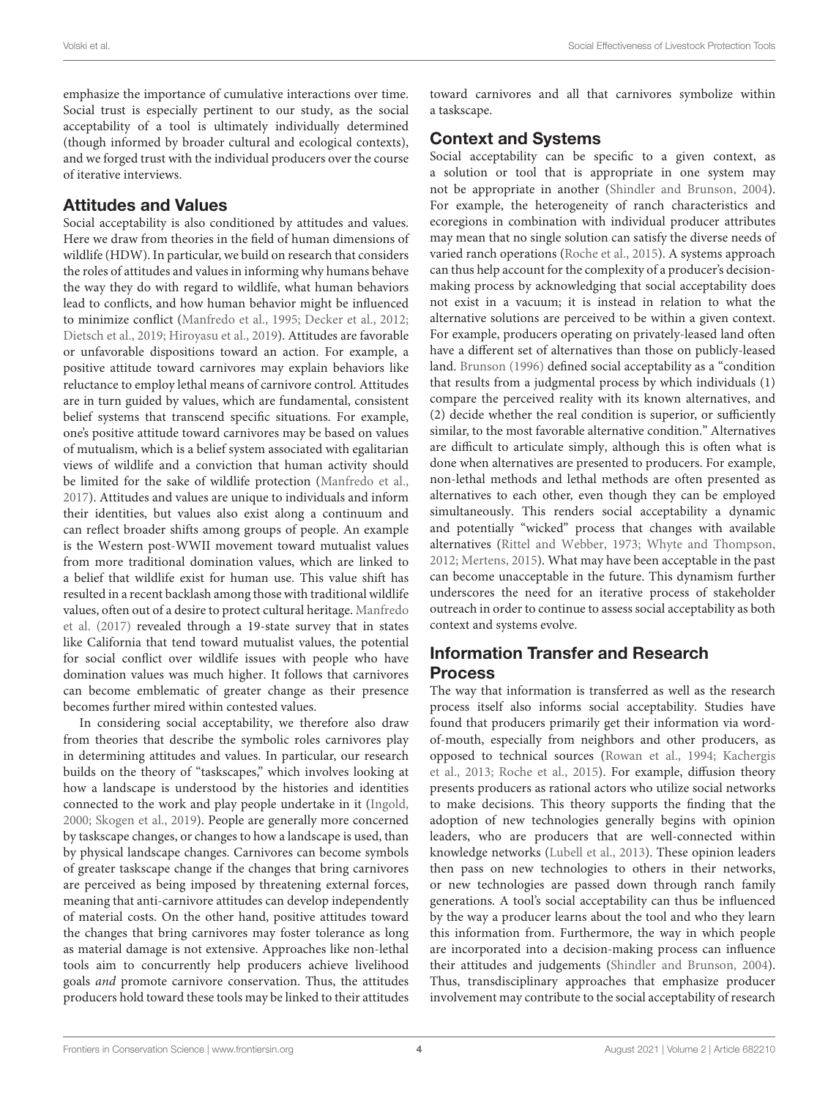emphasize the importance of cumulative interactions over time. Social trust is especially pertinent to our study, as the social acceptability of a tool is ultimately individually determined (though informed by broader cultural and ecological contexts), and we forged trust with the individual producers over the course of iterative interviews.

#### Attitudes and Values

Social acceptability is also conditioned by attitudes and values. Here we draw from theories in the field of human dimensions of wildlife (HDW). In particular, we build on research that considers the roles of attitudes and values in informing why humans behave the way they do with regard to wildlife, what human behaviors lead to conflicts, and how human behavior might be influenced to minimize conflict [\(Manfredo et al., 1995;](#page-15-17) [Decker et al., 2012;](#page-14-8) [Dietsch et al., 2019;](#page-14-9) [Hiroyasu et al., 2019\)](#page-15-18). Attitudes are favorable or unfavorable dispositions toward an action. For example, a positive attitude toward carnivores may explain behaviors like reluctance to employ lethal means of carnivore control. Attitudes are in turn guided by values, which are fundamental, consistent belief systems that transcend specific situations. For example, one's positive attitude toward carnivores may be based on values of mutualism, which is a belief system associated with egalitarian views of wildlife and a conviction that human activity should be limited for the sake of wildlife protection [\(Manfredo et al.,](#page-15-19) [2017\)](#page-15-19). Attitudes and values are unique to individuals and inform their identities, but values also exist along a continuum and can reflect broader shifts among groups of people. An example is the Western post-WWII movement toward mutualist values from more traditional domination values, which are linked to a belief that wildlife exist for human use. This value shift has resulted in a recent backlash among those with traditional wildlife values, often out of a desire to protect cultural heritage. Manfredo et al. [\(2017\)](#page-15-19) revealed through a 19-state survey that in states like California that tend toward mutualist values, the potential for social conflict over wildlife issues with people who have domination values was much higher. It follows that carnivores can become emblematic of greater change as their presence becomes further mired within contested values.

In considering social acceptability, we therefore also draw from theories that describe the symbolic roles carnivores play in determining attitudes and values. In particular, our research builds on the theory of "taskscapes," which involves looking at how a landscape is understood by the histories and identities connected to the work and play people undertake in it [\(Ingold,](#page-15-20) [2000;](#page-15-20) [Skogen et al., 2019\)](#page-16-5). People are generally more concerned by taskscape changes, or changes to how a landscape is used, than by physical landscape changes. Carnivores can become symbols of greater taskscape change if the changes that bring carnivores are perceived as being imposed by threatening external forces, meaning that anti-carnivore attitudes can develop independently of material costs. On the other hand, positive attitudes toward the changes that bring carnivores may foster tolerance as long as material damage is not extensive. Approaches like non-lethal tools aim to concurrently help producers achieve livelihood goals and promote carnivore conservation. Thus, the attitudes producers hold toward these tools may be linked to their attitudes toward carnivores and all that carnivores symbolize within a taskscape.

#### Context and Systems

Social acceptability can be specific to a given context, as a solution or tool that is appropriate in one system may not be appropriate in another [\(Shindler and Brunson, 2004\)](#page-16-17). For example, the heterogeneity of ranch characteristics and ecoregions in combination with individual producer attributes may mean that no single solution can satisfy the diverse needs of varied ranch operations [\(Roche et al., 2015\)](#page-16-23). A systems approach can thus help account for the complexity of a producer's decisionmaking process by acknowledging that social acceptability does not exist in a vacuum; it is instead in relation to what the alternative solutions are perceived to be within a given context. For example, producers operating on privately-leased land often have a different set of alternatives than those on publicly-leased land. [Brunson \(1996\)](#page-14-10) defined social acceptability as a "condition that results from a judgmental process by which individuals (1) compare the perceived reality with its known alternatives, and (2) decide whether the real condition is superior, or sufficiently similar, to the most favorable alternative condition." Alternatives are difficult to articulate simply, although this is often what is done when alternatives are presented to producers. For example, non-lethal methods and lethal methods are often presented as alternatives to each other, even though they can be employed simultaneously. This renders social acceptability a dynamic and potentially "wicked" process that changes with available alternatives [\(Rittel and Webber, 1973;](#page-16-24) [Whyte and Thompson,](#page-16-25) [2012;](#page-16-25) [Mertens, 2015\)](#page-15-21). What may have been acceptable in the past can become unacceptable in the future. This dynamism further underscores the need for an iterative process of stakeholder outreach in order to continue to assess social acceptability as both context and systems evolve.

### Information Transfer and Research Process

The way that information is transferred as well as the research process itself also informs social acceptability. Studies have found that producers primarily get their information via wordof-mouth, especially from neighbors and other producers, as opposed to technical sources [\(Rowan et al., 1994;](#page-16-26) Kachergis et al., [2013;](#page-15-22) [Roche et al., 2015\)](#page-16-23). For example, diffusion theory presents producers as rational actors who utilize social networks to make decisions. This theory supports the finding that the adoption of new technologies generally begins with opinion leaders, who are producers that are well-connected within knowledge networks [\(Lubell et al., 2013\)](#page-15-23). These opinion leaders then pass on new technologies to others in their networks, or new technologies are passed down through ranch family generations. A tool's social acceptability can thus be influenced by the way a producer learns about the tool and who they learn this information from. Furthermore, the way in which people are incorporated into a decision-making process can influence their attitudes and judgements [\(Shindler and Brunson, 2004\)](#page-16-17). Thus, transdisciplinary approaches that emphasize producer involvement may contribute to the social acceptability of research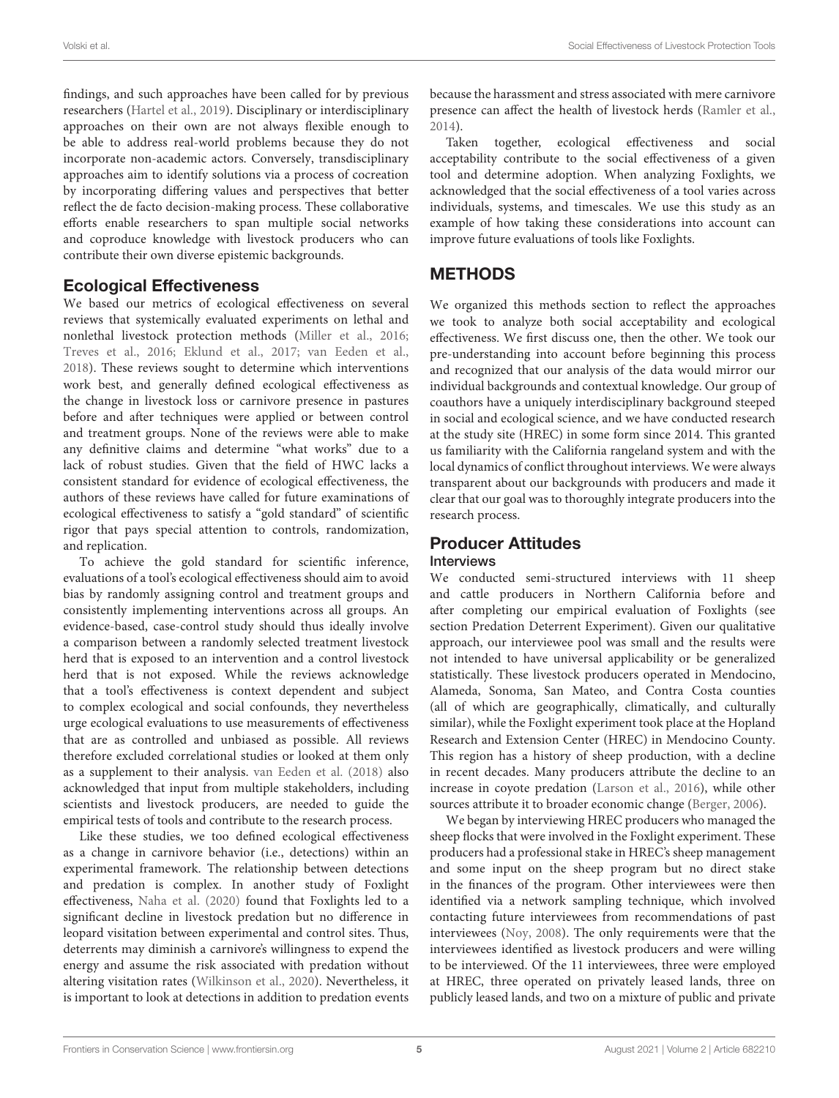findings, and such approaches have been called for by previous researchers [\(Hartel et al., 2019\)](#page-15-16). Disciplinary or interdisciplinary approaches on their own are not always flexible enough to be able to address real-world problems because they do not incorporate non-academic actors. Conversely, transdisciplinary approaches aim to identify solutions via a process of cocreation by incorporating differing values and perspectives that better reflect the de facto decision-making process. These collaborative efforts enable researchers to span multiple social networks and coproduce knowledge with livestock producers who can contribute their own diverse epistemic backgrounds.

### Ecological Effectiveness

We based our metrics of ecological effectiveness on several reviews that systemically evaluated experiments on lethal and nonlethal livestock protection methods [\(Miller et al., 2016;](#page-15-8) [Treves et al., 2016;](#page-16-9) [Eklund et al., 2017;](#page-15-9) [van Eeden et al.,](#page-16-10) [2018\)](#page-16-10). These reviews sought to determine which interventions work best, and generally defined ecological effectiveness as the change in livestock loss or carnivore presence in pastures before and after techniques were applied or between control and treatment groups. None of the reviews were able to make any definitive claims and determine "what works" due to a lack of robust studies. Given that the field of HWC lacks a consistent standard for evidence of ecological effectiveness, the authors of these reviews have called for future examinations of ecological effectiveness to satisfy a "gold standard" of scientific rigor that pays special attention to controls, randomization, and replication.

To achieve the gold standard for scientific inference, evaluations of a tool's ecological effectiveness should aim to avoid bias by randomly assigning control and treatment groups and consistently implementing interventions across all groups. An evidence-based, case-control study should thus ideally involve a comparison between a randomly selected treatment livestock herd that is exposed to an intervention and a control livestock herd that is not exposed. While the reviews acknowledge that a tool's effectiveness is context dependent and subject to complex ecological and social confounds, they nevertheless urge ecological evaluations to use measurements of effectiveness that are as controlled and unbiased as possible. All reviews therefore excluded correlational studies or looked at them only as a supplement to their analysis. [van Eeden et al. \(2018\)](#page-16-10) also acknowledged that input from multiple stakeholders, including scientists and livestock producers, are needed to guide the empirical tests of tools and contribute to the research process.

Like these studies, we too defined ecological effectiveness as a change in carnivore behavior (i.e., detections) within an experimental framework. The relationship between detections and predation is complex. In another study of Foxlight effectiveness, [Naha et al. \(2020\)](#page-15-15) found that Foxlights led to a significant decline in livestock predation but no difference in leopard visitation between experimental and control sites. Thus, deterrents may diminish a carnivore's willingness to expend the energy and assume the risk associated with predation without altering visitation rates [\(Wilkinson et al., 2020\)](#page-16-3). Nevertheless, it is important to look at detections in addition to predation events because the harassment and stress associated with mere carnivore presence can affect the health of livestock herds [\(Ramler et al.,](#page-16-27) [2014\)](#page-16-27).

Taken together, ecological effectiveness and social acceptability contribute to the social effectiveness of a given tool and determine adoption. When analyzing Foxlights, we acknowledged that the social effectiveness of a tool varies across individuals, systems, and timescales. We use this study as an example of how taking these considerations into account can improve future evaluations of tools like Foxlights.

# **METHODS**

We organized this methods section to reflect the approaches we took to analyze both social acceptability and ecological effectiveness. We first discuss one, then the other. We took our pre-understanding into account before beginning this process and recognized that our analysis of the data would mirror our individual backgrounds and contextual knowledge. Our group of coauthors have a uniquely interdisciplinary background steeped in social and ecological science, and we have conducted research at the study site (HREC) in some form since 2014. This granted us familiarity with the California rangeland system and with the local dynamics of conflict throughout interviews. We were always transparent about our backgrounds with producers and made it clear that our goal was to thoroughly integrate producers into the research process.

### Producer Attitudes

#### Interviews

We conducted semi-structured interviews with 11 sheep and cattle producers in Northern California before and after completing our empirical evaluation of Foxlights (see section Predation Deterrent Experiment). Given our qualitative approach, our interviewee pool was small and the results were not intended to have universal applicability or be generalized statistically. These livestock producers operated in Mendocino, Alameda, Sonoma, San Mateo, and Contra Costa counties (all of which are geographically, climatically, and culturally similar), while the Foxlight experiment took place at the Hopland Research and Extension Center (HREC) in Mendocino County. This region has a history of sheep production, with a decline in recent decades. Many producers attribute the decline to an increase in coyote predation [\(Larson et al., 2016\)](#page-15-24), while other sources attribute it to broader economic change [\(Berger, 2006\)](#page-14-2).

We began by interviewing HREC producers who managed the sheep flocks that were involved in the Foxlight experiment. These producers had a professional stake in HREC's sheep management and some input on the sheep program but no direct stake in the finances of the program. Other interviewees were then identified via a network sampling technique, which involved contacting future interviewees from recommendations of past interviewees [\(Noy, 2008\)](#page-15-25). The only requirements were that the interviewees identified as livestock producers and were willing to be interviewed. Of the 11 interviewees, three were employed at HREC, three operated on privately leased lands, three on publicly leased lands, and two on a mixture of public and private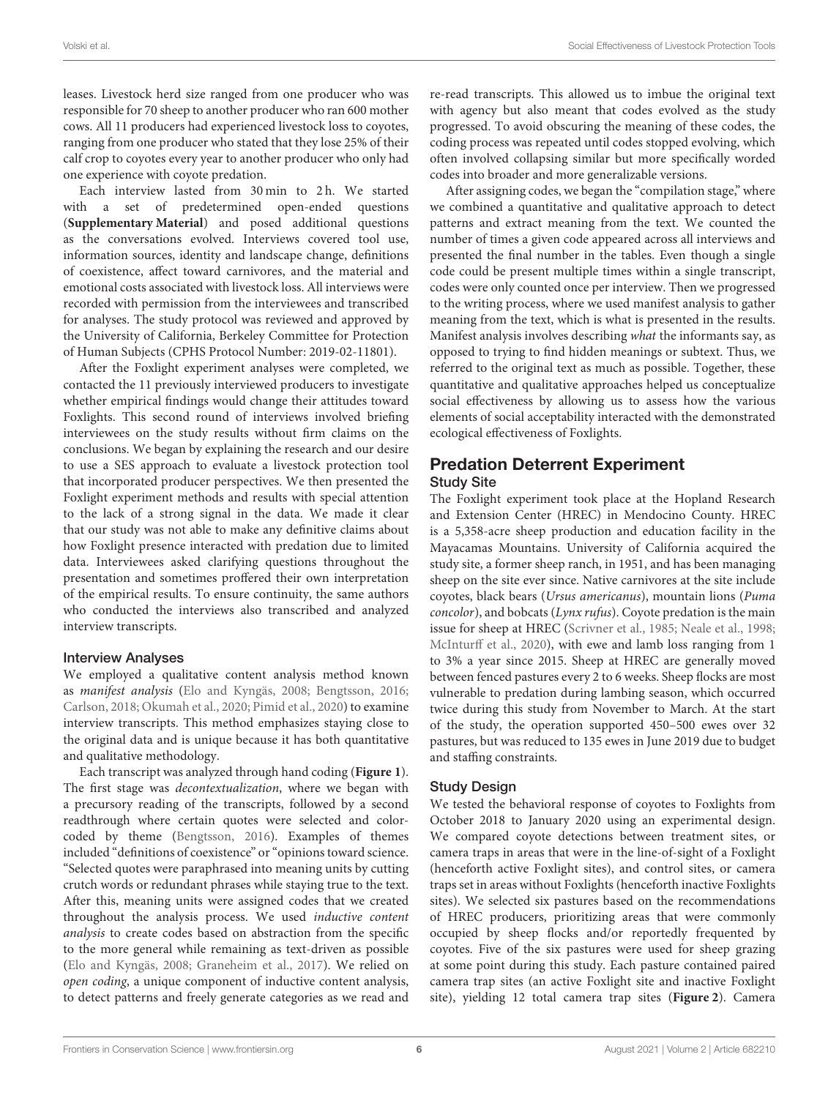leases. Livestock herd size ranged from one producer who was responsible for 70 sheep to another producer who ran 600 mother cows. All 11 producers had experienced livestock loss to coyotes, ranging from one producer who stated that they lose 25% of their calf crop to coyotes every year to another producer who only had one experience with coyote predation.

Each interview lasted from 30 min to 2 h. We started with a set of predetermined open-ended questions (**[Supplementary Material](#page-14-11)**) and posed additional questions as the conversations evolved. Interviews covered tool use, information sources, identity and landscape change, definitions of coexistence, affect toward carnivores, and the material and emotional costs associated with livestock loss. All interviews were recorded with permission from the interviewees and transcribed for analyses. The study protocol was reviewed and approved by the University of California, Berkeley Committee for Protection of Human Subjects (CPHS Protocol Number: 2019-02-11801).

After the Foxlight experiment analyses were completed, we contacted the 11 previously interviewed producers to investigate whether empirical findings would change their attitudes toward Foxlights. This second round of interviews involved briefing interviewees on the study results without firm claims on the conclusions. We began by explaining the research and our desire to use a SES approach to evaluate a livestock protection tool that incorporated producer perspectives. We then presented the Foxlight experiment methods and results with special attention to the lack of a strong signal in the data. We made it clear that our study was not able to make any definitive claims about how Foxlight presence interacted with predation due to limited data. Interviewees asked clarifying questions throughout the presentation and sometimes proffered their own interpretation of the empirical results. To ensure continuity, the same authors who conducted the interviews also transcribed and analyzed interview transcripts.

#### Interview Analyses

We employed a qualitative content analysis method known as manifest analysis [\(Elo and Kyngäs, 2008;](#page-15-26) [Bengtsson, 2016;](#page-14-12) [Carlson, 2018;](#page-14-13) [Okumah et al., 2020;](#page-16-28) [Pimid et al., 2020\)](#page-16-29) to examine interview transcripts. This method emphasizes staying close to the original data and is unique because it has both quantitative and qualitative methodology.

Each transcript was analyzed through hand coding (**[Figure 1](#page-6-0)**). The first stage was *decontextualization*, where we began with a precursory reading of the transcripts, followed by a second readthrough where certain quotes were selected and colorcoded by theme [\(Bengtsson, 2016\)](#page-14-12). Examples of themes included "definitions of coexistence" or "opinions toward science. "Selected quotes were paraphrased into meaning units by cutting crutch words or redundant phrases while staying true to the text. After this, meaning units were assigned codes that we created throughout the analysis process. We used inductive content analysis to create codes based on abstraction from the specific to the more general while remaining as text-driven as possible [\(Elo and Kyngäs, 2008;](#page-15-26) [Graneheim et al., 2017\)](#page-15-27). We relied on open coding, a unique component of inductive content analysis, to detect patterns and freely generate categories as we read and re-read transcripts. This allowed us to imbue the original text with agency but also meant that codes evolved as the study progressed. To avoid obscuring the meaning of these codes, the coding process was repeated until codes stopped evolving, which often involved collapsing similar but more specifically worded codes into broader and more generalizable versions.

After assigning codes, we began the "compilation stage," where we combined a quantitative and qualitative approach to detect patterns and extract meaning from the text. We counted the number of times a given code appeared across all interviews and presented the final number in the tables. Even though a single code could be present multiple times within a single transcript, codes were only counted once per interview. Then we progressed to the writing process, where we used manifest analysis to gather meaning from the text, which is what is presented in the results. Manifest analysis involves describing what the informants say, as opposed to trying to find hidden meanings or subtext. Thus, we referred to the original text as much as possible. Together, these quantitative and qualitative approaches helped us conceptualize social effectiveness by allowing us to assess how the various elements of social acceptability interacted with the demonstrated ecological effectiveness of Foxlights.

#### Predation Deterrent Experiment Study Site

The Foxlight experiment took place at the Hopland Research and Extension Center (HREC) in Mendocino County. HREC is a 5,358-acre sheep production and education facility in the Mayacamas Mountains. University of California acquired the study site, a former sheep ranch, in 1951, and has been managing sheep on the site ever since. Native carnivores at the site include coyotes, black bears (Ursus americanus), mountain lions (Puma concolor), and bobcats (Lynx rufus). Coyote predation is the main issue for sheep at HREC [\(Scrivner et al., 1985;](#page-16-30) [Neale et al., 1998;](#page-15-28) [McInturff et al., 2020\)](#page-15-29), with ewe and lamb loss ranging from 1 to 3% a year since 2015. Sheep at HREC are generally moved between fenced pastures every 2 to 6 weeks. Sheep flocks are most vulnerable to predation during lambing season, which occurred twice during this study from November to March. At the start of the study, the operation supported 450–500 ewes over 32 pastures, but was reduced to 135 ewes in June 2019 due to budget and staffing constraints.

#### Study Design

We tested the behavioral response of coyotes to Foxlights from October 2018 to January 2020 using an experimental design. We compared coyote detections between treatment sites, or camera traps in areas that were in the line-of-sight of a Foxlight (henceforth active Foxlight sites), and control sites, or camera traps set in areas without Foxlights (henceforth inactive Foxlights sites). We selected six pastures based on the recommendations of HREC producers, prioritizing areas that were commonly occupied by sheep flocks and/or reportedly frequented by coyotes. Five of the six pastures were used for sheep grazing at some point during this study. Each pasture contained paired camera trap sites (an active Foxlight site and inactive Foxlight site), yielding 12 total camera trap sites (**[Figure 2](#page-6-1)**). Camera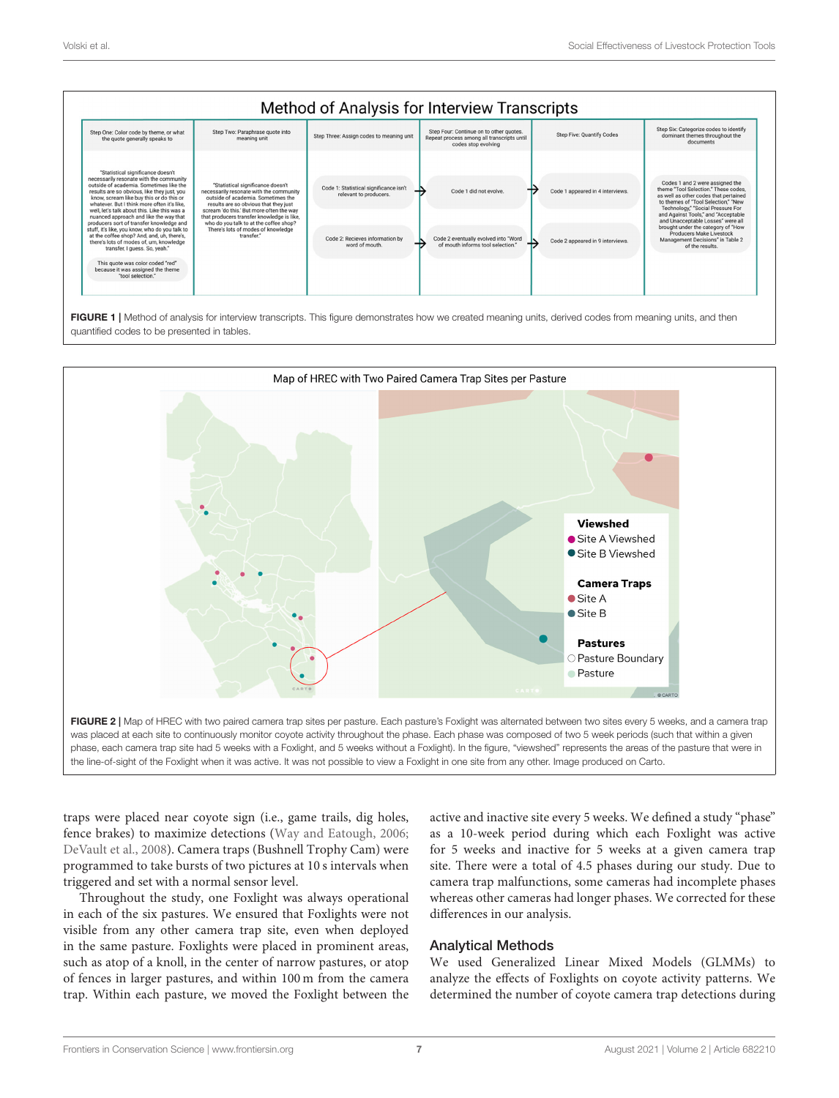

<span id="page-6-0"></span>FIGURE 1 | Method of analysis for interview transcripts. This figure demonstrates how we created meaning units, derived codes from meaning units, and then quantified codes to be presented in tables.



<span id="page-6-1"></span>traps were placed near coyote sign (i.e., game trails, dig holes, fence brakes) to maximize detections [\(Way and Eatough, 2006;](#page-16-31) [DeVault et al., 2008\)](#page-14-14). Camera traps (Bushnell Trophy Cam) were programmed to take bursts of two pictures at 10 s intervals when triggered and set with a normal sensor level.

Throughout the study, one Foxlight was always operational in each of the six pastures. We ensured that Foxlights were not visible from any other camera trap site, even when deployed in the same pasture. Foxlights were placed in prominent areas, such as atop of a knoll, in the center of narrow pastures, or atop of fences in larger pastures, and within 100 m from the camera trap. Within each pasture, we moved the Foxlight between the active and inactive site every 5 weeks. We defined a study "phase" as a 10-week period during which each Foxlight was active for 5 weeks and inactive for 5 weeks at a given camera trap site. There were a total of 4.5 phases during our study. Due to camera trap malfunctions, some cameras had incomplete phases whereas other cameras had longer phases. We corrected for these differences in our analysis.

#### Analytical Methods

We used Generalized Linear Mixed Models (GLMMs) to analyze the effects of Foxlights on coyote activity patterns. We determined the number of coyote camera trap detections during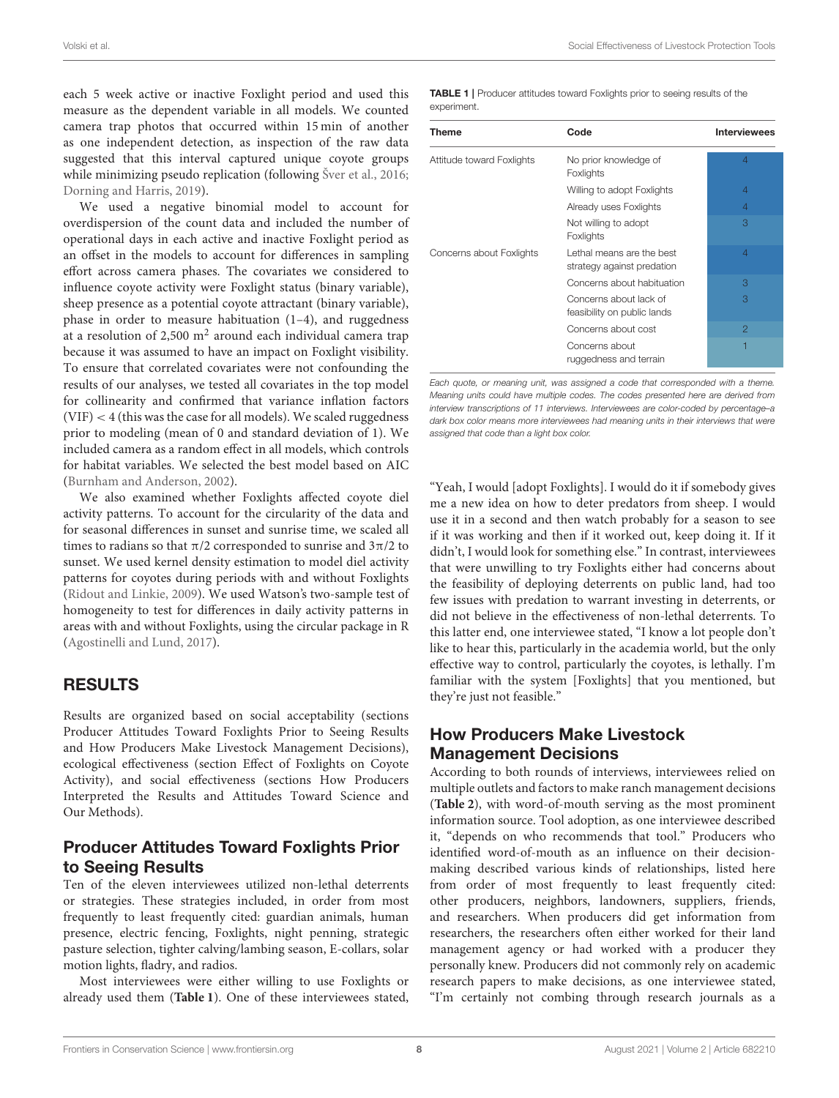Volski et al. Social Effectiveness of Livestock Protection Tools

each 5 week active or inactive Foxlight period and used this measure as the dependent variable in all models. We counted camera trap photos that occurred within 15 min of another as one independent detection, as inspection of the raw data suggested that this interval captured unique coyote groups while minimizing pseudo replication (following [Šver et al., 2016;](#page-16-32) [Dorning and Harris, 2019\)](#page-15-30).

We used a negative binomial model to account for overdispersion of the count data and included the number of operational days in each active and inactive Foxlight period as an offset in the models to account for differences in sampling effort across camera phases. The covariates we considered to influence coyote activity were Foxlight status (binary variable), sheep presence as a potential coyote attractant (binary variable), phase in order to measure habituation (1–4), and ruggedness at a resolution of 2,500  $\mathrm{m}^2$  around each individual camera trap because it was assumed to have an impact on Foxlight visibility. To ensure that correlated covariates were not confounding the results of our analyses, we tested all covariates in the top model for collinearity and confirmed that variance inflation factors  $(VIF) < 4$  (this was the case for all models). We scaled ruggedness prior to modeling (mean of 0 and standard deviation of 1). We included camera as a random effect in all models, which controls for habitat variables. We selected the best model based on AIC [\(Burnham and Anderson, 2002\)](#page-14-15).

We also examined whether Foxlights affected coyote diel activity patterns. To account for the circularity of the data and for seasonal differences in sunset and sunrise time, we scaled all times to radians so that  $\pi/2$  corresponded to sunrise and  $3\pi/2$  to sunset. We used kernel density estimation to model diel activity patterns for coyotes during periods with and without Foxlights [\(Ridout and Linkie, 2009\)](#page-16-33). We used Watson's two-sample test of homogeneity to test for differences in daily activity patterns in areas with and without Foxlights, using the circular package in R [\(Agostinelli and Lund, 2017\)](#page-14-16).

# RESULTS

Results are organized based on social acceptability (sections Producer Attitudes Toward Foxlights Prior to Seeing Results and How Producers Make Livestock Management Decisions), ecological effectiveness (section Effect of Foxlights on Coyote Activity), and social effectiveness (sections How Producers Interpreted the Results and Attitudes Toward Science and Our Methods).

### Producer Attitudes Toward Foxlights Prior to Seeing Results

Ten of the eleven interviewees utilized non-lethal deterrents or strategies. These strategies included, in order from most frequently to least frequently cited: guardian animals, human presence, electric fencing, Foxlights, night penning, strategic pasture selection, tighter calving/lambing season, E-collars, solar motion lights, fladry, and radios.

Most interviewees were either willing to use Foxlights or already used them (**[Table 1](#page-7-0)**). One of these interviewees stated, <span id="page-7-0"></span>TABLE 1 | Producer attitudes toward Foxlights prior to seeing results of the experiment.

| <b>Theme</b>              | Code                                                    | <b>Interviewees</b> |
|---------------------------|---------------------------------------------------------|---------------------|
| Attitude toward Foxlights | No prior knowledge of<br>Foxlights                      | $\overline{4}$      |
|                           | Willing to adopt Foxlights                              | $\overline{4}$      |
|                           | Already uses Foxlights                                  | $\overline{4}$      |
|                           | Not willing to adopt<br>Foxlights                       | 3                   |
| Concerns about Foxlights  | Lethal means are the best<br>strategy against predation | $\overline{4}$      |
|                           | Concerns about habituation                              | 3                   |
|                           | Concerns about lack of<br>feasibility on public lands   | 3                   |
|                           | Concerns about cost                                     | 2                   |
|                           | Concerns about<br>ruggedness and terrain                | Ħ                   |

Each quote, or meaning unit, was assigned a code that corresponded with a theme. Meaning units could have multiple codes. The codes presented here are derived from interview transcriptions of 11 interviews. Interviewees are color-coded by percentage–a dark box color means more interviewees had meaning units in their interviews that were assigned that code than a light box color.

"Yeah, I would [adopt Foxlights]. I would do it if somebody gives me a new idea on how to deter predators from sheep. I would use it in a second and then watch probably for a season to see if it was working and then if it worked out, keep doing it. If it didn't, I would look for something else." In contrast, interviewees that were unwilling to try Foxlights either had concerns about the feasibility of deploying deterrents on public land, had too few issues with predation to warrant investing in deterrents, or did not believe in the effectiveness of non-lethal deterrents. To this latter end, one interviewee stated, "I know a lot people don't like to hear this, particularly in the academia world, but the only effective way to control, particularly the coyotes, is lethally. I'm familiar with the system [Foxlights] that you mentioned, but they're just not feasible."

# How Producers Make Livestock Management Decisions

According to both rounds of interviews, interviewees relied on multiple outlets and factors to make ranch management decisions (**[Table 2](#page-8-0)**), with word-of-mouth serving as the most prominent information source. Tool adoption, as one interviewee described it, "depends on who recommends that tool." Producers who identified word-of-mouth as an influence on their decisionmaking described various kinds of relationships, listed here from order of most frequently to least frequently cited: other producers, neighbors, landowners, suppliers, friends, and researchers. When producers did get information from researchers, the researchers often either worked for their land management agency or had worked with a producer they personally knew. Producers did not commonly rely on academic research papers to make decisions, as one interviewee stated, "I'm certainly not combing through research journals as a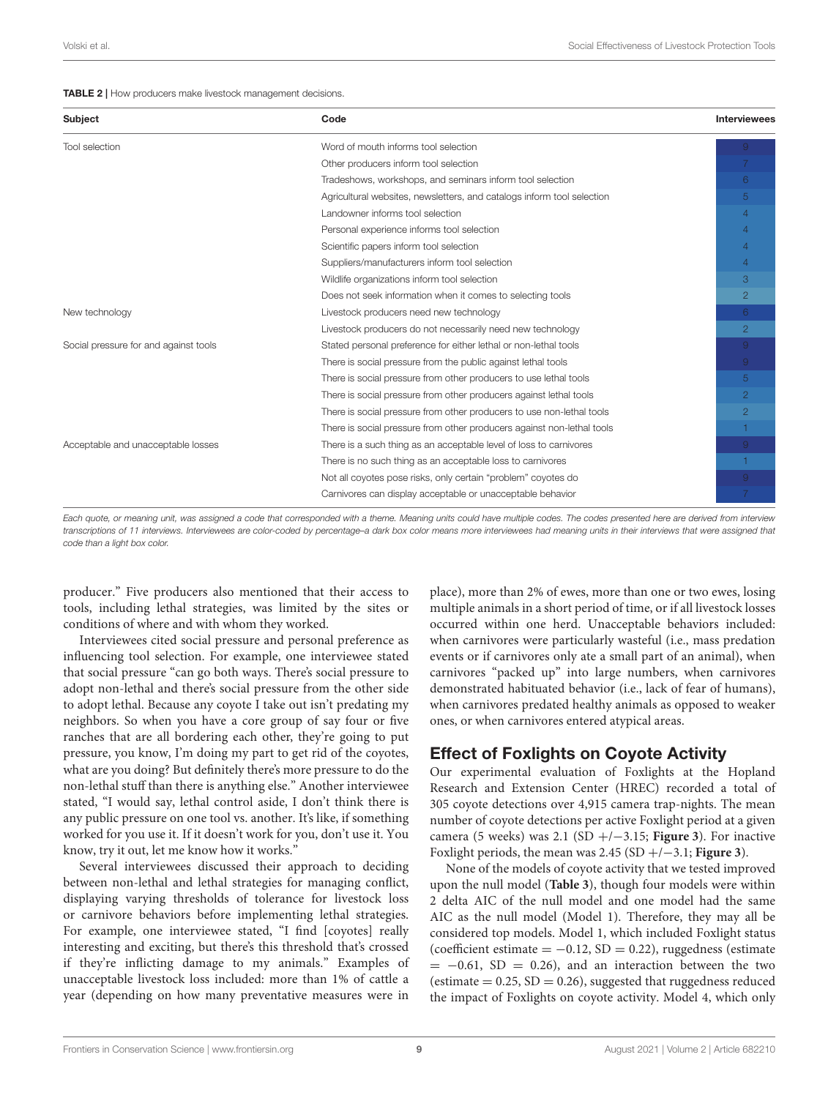#### <span id="page-8-0"></span>TABLE 2 | How producers make livestock management decisions.

| <b>Subject</b>                        | Code                                                                   | <b>Interviewees</b> |
|---------------------------------------|------------------------------------------------------------------------|---------------------|
| Tool selection                        | Word of mouth informs tool selection                                   |                     |
|                                       | Other producers inform tool selection                                  |                     |
|                                       | Tradeshows, workshops, and seminars inform tool selection              | 6                   |
|                                       | Agricultural websites, newsletters, and catalogs inform tool selection | 5                   |
|                                       | Landowner informs tool selection                                       | $\overline{4}$      |
|                                       | Personal experience informs tool selection                             | $\overline{4}$      |
|                                       | Scientific papers inform tool selection                                | $\overline{4}$      |
|                                       | Suppliers/manufacturers inform tool selection                          | $\overline{4}$      |
|                                       | Wildlife organizations inform tool selection                           | 3                   |
|                                       | Does not seek information when it comes to selecting tools             | $\overline{2}$      |
| New technology                        | Livestock producers need new technology                                | 6                   |
|                                       | Livestock producers do not necessarily need new technology             | $\overline{2}$      |
| Social pressure for and against tools | Stated personal preference for either lethal or non-lethal tools       | 9 <sup>°</sup>      |
|                                       | There is social pressure from the public against lethal tools          | $\overline{9}$      |
|                                       | There is social pressure from other producers to use lethal tools      | $5^{\circ}$         |
|                                       | There is social pressure from other producers against lethal tools     | $\overline{2}$      |
|                                       | There is social pressure from other producers to use non-lethal tools  | $\overline{2}$      |
|                                       | There is social pressure from other producers against non-lethal tools |                     |
| Acceptable and unacceptable losses    | There is a such thing as an acceptable level of loss to carnivores     | $\overline{9}$      |
|                                       | There is no such thing as an acceptable loss to carnivores             | 1                   |
|                                       | Not all coyotes pose risks, only certain "problem" coyotes do          | 9                   |
|                                       | Carnivores can display acceptable or unacceptable behavior             |                     |

Each quote, or meaning unit, was assigned a code that corresponded with a theme. Meaning units could have multiple codes. The codes presented here are derived from interview transcriptions of 11 interviews. Interviewees are color-coded by percentage–a dark box color means more interviewees had meaning units in their interviews that were assigned that code than a light box color.

producer." Five producers also mentioned that their access to tools, including lethal strategies, was limited by the sites or conditions of where and with whom they worked.

Interviewees cited social pressure and personal preference as influencing tool selection. For example, one interviewee stated that social pressure "can go both ways. There's social pressure to adopt non-lethal and there's social pressure from the other side to adopt lethal. Because any coyote I take out isn't predating my neighbors. So when you have a core group of say four or five ranches that are all bordering each other, they're going to put pressure, you know, I'm doing my part to get rid of the coyotes, what are you doing? But definitely there's more pressure to do the non-lethal stuff than there is anything else." Another interviewee stated, "I would say, lethal control aside, I don't think there is any public pressure on one tool vs. another. It's like, if something worked for you use it. If it doesn't work for you, don't use it. You know, try it out, let me know how it works."

Several interviewees discussed their approach to deciding between non-lethal and lethal strategies for managing conflict, displaying varying thresholds of tolerance for livestock loss or carnivore behaviors before implementing lethal strategies. For example, one interviewee stated, "I find [coyotes] really interesting and exciting, but there's this threshold that's crossed if they're inflicting damage to my animals." Examples of unacceptable livestock loss included: more than 1% of cattle a year (depending on how many preventative measures were in place), more than 2% of ewes, more than one or two ewes, losing multiple animals in a short period of time, or if all livestock losses occurred within one herd. Unacceptable behaviors included: when carnivores were particularly wasteful (i.e., mass predation events or if carnivores only ate a small part of an animal), when carnivores "packed up" into large numbers, when carnivores demonstrated habituated behavior (i.e., lack of fear of humans), when carnivores predated healthy animals as opposed to weaker ones, or when carnivores entered atypical areas.

#### Effect of Foxlights on Coyote Activity

Our experimental evaluation of Foxlights at the Hopland Research and Extension Center (HREC) recorded a total of 305 coyote detections over 4,915 camera trap-nights. The mean number of coyote detections per active Foxlight period at a given camera (5 weeks) was 2.1 (SD +/−3.15; **[Figure 3](#page-9-0)**). For inactive Foxlight periods, the mean was 2.45 (SD +/−3.1; **[Figure 3](#page-9-0)**).

None of the models of coyote activity that we tested improved upon the null model (**[Table 3](#page-9-1)**), though four models were within 2 delta AIC of the null model and one model had the same AIC as the null model (Model 1). Therefore, they may all be considered top models. Model 1, which included Foxlight status (coefficient estimate =  $-0.12$ , SD = 0.22), ruggedness (estimate  $= -0.61$ , SD = 0.26), and an interaction between the two (estimate  $= 0.25$ , SD  $= 0.26$ ), suggested that ruggedness reduced the impact of Foxlights on coyote activity. Model 4, which only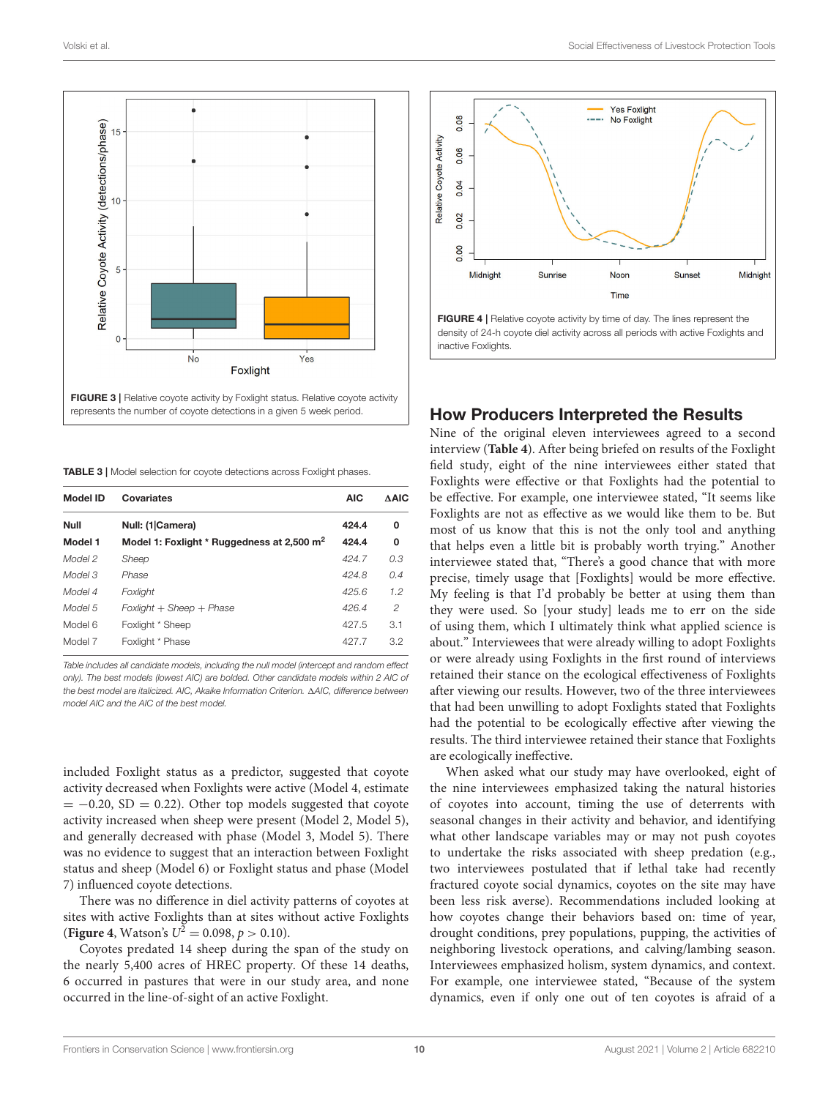

<span id="page-9-1"></span><span id="page-9-0"></span>**TABLE 3 | Model selection for covote detections across Foxlight phases.** 

| <b>Model ID</b> | Covariates                                             | <b>AIC</b> | <b>AAIC</b>   |
|-----------------|--------------------------------------------------------|------------|---------------|
| <b>Null</b>     | Null: (1 Camera)                                       | 424.4      | 0             |
| Model 1         | Model 1: Foxlight * Ruggedness at 2,500 m <sup>2</sup> | 424.4      | 0             |
| Model 2         | Sheep                                                  | 424.7      | 0.3           |
| Model 3         | Phase                                                  | 424.8      | 0.4           |
| Model 4         | Foxlight                                               | 425.6      | 1.2           |
| Model 5         | $Foxlight + Sheep + Phase$                             | 426.4      | $\mathcal{P}$ |
| Model 6         | Foxlight * Sheep                                       | 427.5      | 3.1           |
| Model 7         | Foxlight * Phase                                       | 427.7      | 3.2           |

Table includes all candidate models, including the null model (intercept and random effect only). The best models (lowest AIC) are bolded. Other candidate models within 2 AIC of the best model are italicized. AIC, Akaike Information Criterion. 1AIC, difference between model AIC and the AIC of the best model.

included Foxlight status as a predictor, suggested that coyote activity decreased when Foxlights were active (Model 4, estimate  $= -0.20$ , SD = 0.22). Other top models suggested that coyote activity increased when sheep were present (Model 2, Model 5), and generally decreased with phase (Model 3, Model 5). There was no evidence to suggest that an interaction between Foxlight status and sheep (Model 6) or Foxlight status and phase (Model 7) influenced coyote detections.

There was no difference in diel activity patterns of coyotes at sites with active Foxlights than at sites without active Foxlights **([Figure 4](#page-9-2),** Watson's  $U^2 = 0.098$ ,  $p > 0.10$ ).

Coyotes predated 14 sheep during the span of the study on the nearly 5,400 acres of HREC property. Of these 14 deaths, 6 occurred in pastures that were in our study area, and none occurred in the line-of-sight of an active Foxlight.



#### <span id="page-9-2"></span>How Producers Interpreted the Results

Nine of the original eleven interviewees agreed to a second interview (**[Table 4](#page-10-0)**). After being briefed on results of the Foxlight field study, eight of the nine interviewees either stated that Foxlights were effective or that Foxlights had the potential to be effective. For example, one interviewee stated, "It seems like Foxlights are not as effective as we would like them to be. But most of us know that this is not the only tool and anything that helps even a little bit is probably worth trying." Another interviewee stated that, "There's a good chance that with more precise, timely usage that [Foxlights] would be more effective. My feeling is that I'd probably be better at using them than they were used. So [your study] leads me to err on the side of using them, which I ultimately think what applied science is about." Interviewees that were already willing to adopt Foxlights or were already using Foxlights in the first round of interviews retained their stance on the ecological effectiveness of Foxlights after viewing our results. However, two of the three interviewees that had been unwilling to adopt Foxlights stated that Foxlights had the potential to be ecologically effective after viewing the results. The third interviewee retained their stance that Foxlights are ecologically ineffective.

When asked what our study may have overlooked, eight of the nine interviewees emphasized taking the natural histories of coyotes into account, timing the use of deterrents with seasonal changes in their activity and behavior, and identifying what other landscape variables may or may not push coyotes to undertake the risks associated with sheep predation (e.g., two interviewees postulated that if lethal take had recently fractured coyote social dynamics, coyotes on the site may have been less risk averse). Recommendations included looking at how coyotes change their behaviors based on: time of year, drought conditions, prey populations, pupping, the activities of neighboring livestock operations, and calving/lambing season. Interviewees emphasized holism, system dynamics, and context. For example, one interviewee stated, "Because of the system dynamics, even if only one out of ten coyotes is afraid of a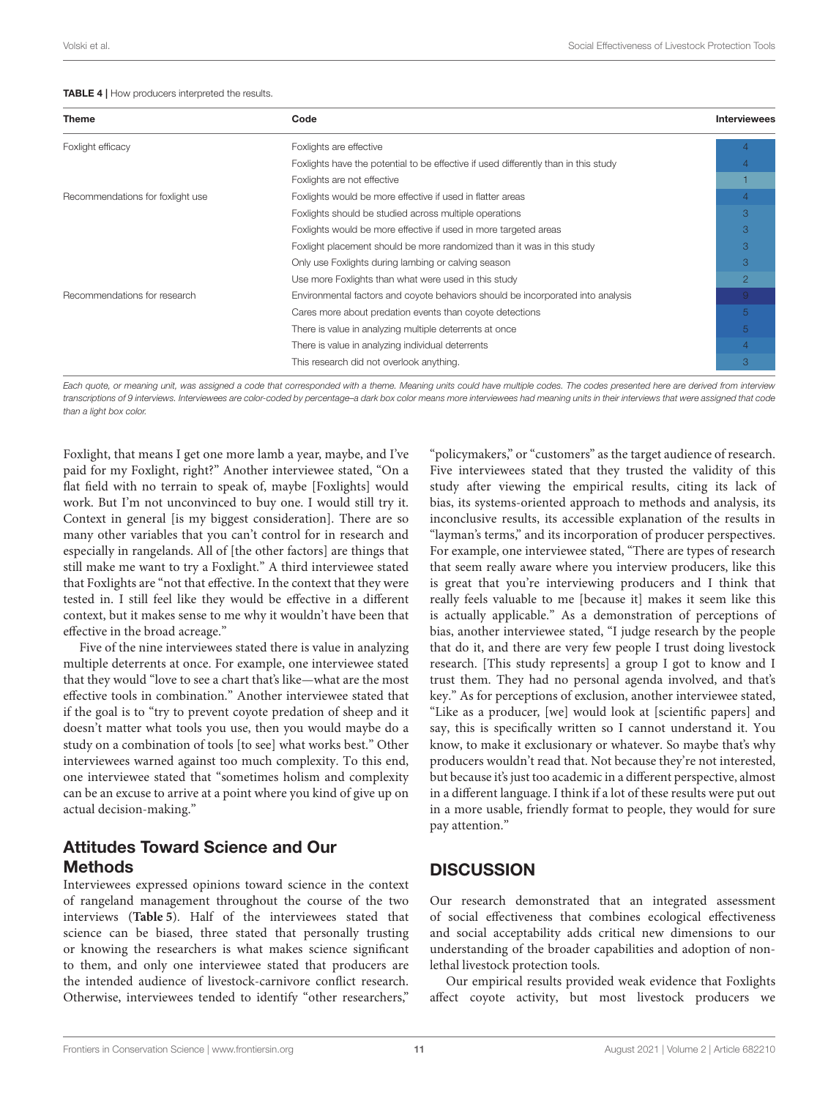<span id="page-10-0"></span>

| <b>Theme</b>                     | Code                                                                                | <b>Interviewees</b> |
|----------------------------------|-------------------------------------------------------------------------------------|---------------------|
| Foxlight efficacy                | Foxlights are effective                                                             |                     |
|                                  | Foxlights have the potential to be effective if used differently than in this study |                     |
|                                  | Foxlights are not effective                                                         |                     |
| Recommendations for foxlight use | Foxlights would be more effective if used in flatter areas                          |                     |
|                                  | Foxlights should be studied across multiple operations                              | 3                   |
|                                  | Foxlights would be more effective if used in more targeted areas                    | 3                   |
|                                  | Foxlight placement should be more randomized than it was in this study              | 3                   |
|                                  | Only use Foxlights during lambing or calving season                                 | 3                   |
|                                  | Use more Foxlights than what were used in this study                                | $\overline{2}$      |
| Recommendations for research     | Environmental factors and coyote behaviors should be incorporated into analysis     | $\overline{9}$      |
|                                  | Cares more about predation events than coyote detections                            | $\sqrt{5}$          |
|                                  | There is value in analyzing multiple deterrents at once                             | $5^{\circ}$         |
|                                  | There is value in analyzing individual deterrents                                   |                     |
|                                  | This research did not overlook anything.                                            | 3                   |

Each quote, or meaning unit, was assigned a code that corresponded with a theme. Meaning units could have multiple codes. The codes presented here are derived from interview transcriptions of 9 interviews. Interviewees are color-coded by percentage–a dark box color means more interviewees had meaning units in their interviews that were assigned that code than a light box color.

Foxlight, that means I get one more lamb a year, maybe, and I've paid for my Foxlight, right?" Another interviewee stated, "On a flat field with no terrain to speak of, maybe [Foxlights] would work. But I'm not unconvinced to buy one. I would still try it. Context in general [is my biggest consideration]. There are so many other variables that you can't control for in research and especially in rangelands. All of [the other factors] are things that still make me want to try a Foxlight." A third interviewee stated that Foxlights are "not that effective. In the context that they were tested in. I still feel like they would be effective in a different context, but it makes sense to me why it wouldn't have been that effective in the broad acreage."

Five of the nine interviewees stated there is value in analyzing multiple deterrents at once. For example, one interviewee stated that they would "love to see a chart that's like—what are the most effective tools in combination." Another interviewee stated that if the goal is to "try to prevent coyote predation of sheep and it doesn't matter what tools you use, then you would maybe do a study on a combination of tools [to see] what works best." Other interviewees warned against too much complexity. To this end, one interviewee stated that "sometimes holism and complexity can be an excuse to arrive at a point where you kind of give up on actual decision-making."

### Attitudes Toward Science and Our Methods

Interviewees expressed opinions toward science in the context of rangeland management throughout the course of the two interviews (**[Table 5](#page-11-0)**). Half of the interviewees stated that science can be biased, three stated that personally trusting or knowing the researchers is what makes science significant to them, and only one interviewee stated that producers are the intended audience of livestock-carnivore conflict research. Otherwise, interviewees tended to identify "other researchers,"

"policymakers," or "customers" as the target audience of research. Five interviewees stated that they trusted the validity of this study after viewing the empirical results, citing its lack of bias, its systems-oriented approach to methods and analysis, its inconclusive results, its accessible explanation of the results in "layman's terms," and its incorporation of producer perspectives. For example, one interviewee stated, "There are types of research that seem really aware where you interview producers, like this is great that you're interviewing producers and I think that really feels valuable to me [because it] makes it seem like this is actually applicable." As a demonstration of perceptions of bias, another interviewee stated, "I judge research by the people that do it, and there are very few people I trust doing livestock research. [This study represents] a group I got to know and I trust them. They had no personal agenda involved, and that's key." As for perceptions of exclusion, another interviewee stated, "Like as a producer, [we] would look at [scientific papers] and say, this is specifically written so I cannot understand it. You know, to make it exclusionary or whatever. So maybe that's why producers wouldn't read that. Not because they're not interested, but because it's just too academic in a different perspective, almost in a different language. I think if a lot of these results were put out in a more usable, friendly format to people, they would for sure pay attention."

### **DISCUSSION**

Our research demonstrated that an integrated assessment of social effectiveness that combines ecological effectiveness and social acceptability adds critical new dimensions to our understanding of the broader capabilities and adoption of nonlethal livestock protection tools.

Our empirical results provided weak evidence that Foxlights affect coyote activity, but most livestock producers we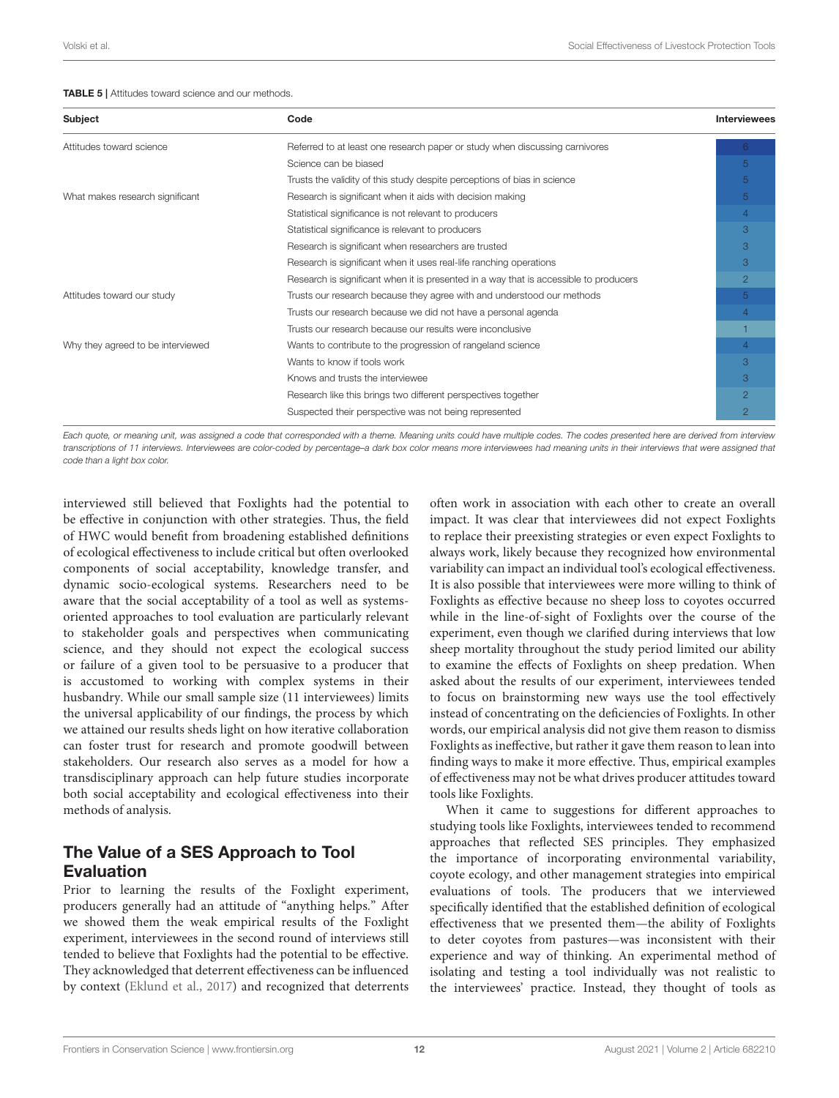#### <span id="page-11-0"></span>TABLE 5 | Attitudes toward science and our methods.

| Subject                           | Code                                                                                  | <b>Interviewees</b> |
|-----------------------------------|---------------------------------------------------------------------------------------|---------------------|
| Attitudes toward science          | Referred to at least one research paper or study when discussing carnivores           | 6.                  |
|                                   | Science can be biased                                                                 | 5                   |
|                                   | Trusts the validity of this study despite perceptions of bias in science              | 5                   |
| What makes research significant   | Research is significant when it aids with decision making                             | 5                   |
|                                   | Statistical significance is not relevant to producers                                 | $\overline{4}$      |
|                                   | Statistical significance is relevant to producers                                     | 3                   |
|                                   | Research is significant when researchers are trusted                                  | 3                   |
|                                   | Research is significant when it uses real-life ranching operations                    | 3                   |
|                                   | Research is significant when it is presented in a way that is accessible to producers | $\overline{2}$      |
| Attitudes toward our study        | Trusts our research because they agree with and understood our methods                | 5                   |
|                                   | Trusts our research because we did not have a personal agenda                         | $\overline{4}$      |
|                                   | Trusts our research because our results were inconclusive                             |                     |
| Why they agreed to be interviewed | Wants to contribute to the progression of rangeland science                           | $\overline{4}$      |
|                                   | Wants to know if tools work                                                           | 3                   |
|                                   | Knows and trusts the interviewee                                                      | 3                   |
|                                   | Research like this brings two different perspectives together                         | $\overline{2}$      |
|                                   | Suspected their perspective was not being represented                                 | $\overline{2}$      |

Each quote, or meaning unit, was assigned a code that corresponded with a theme. Meaning units could have multiple codes. The codes presented here are derived from interview transcriptions of 11 interviews. Interviewees are color-coded by percentage–a dark box color means more interviewees had meaning units in their interviews that were assigned that code than a light box color.

interviewed still believed that Foxlights had the potential to be effective in conjunction with other strategies. Thus, the field of HWC would benefit from broadening established definitions of ecological effectiveness to include critical but often overlooked components of social acceptability, knowledge transfer, and dynamic socio-ecological systems. Researchers need to be aware that the social acceptability of a tool as well as systemsoriented approaches to tool evaluation are particularly relevant to stakeholder goals and perspectives when communicating science, and they should not expect the ecological success or failure of a given tool to be persuasive to a producer that is accustomed to working with complex systems in their husbandry. While our small sample size (11 interviewees) limits the universal applicability of our findings, the process by which we attained our results sheds light on how iterative collaboration can foster trust for research and promote goodwill between stakeholders. Our research also serves as a model for how a transdisciplinary approach can help future studies incorporate both social acceptability and ecological effectiveness into their methods of analysis.

### The Value of a SES Approach to Tool Evaluation

Prior to learning the results of the Foxlight experiment, producers generally had an attitude of "anything helps." After we showed them the weak empirical results of the Foxlight experiment, interviewees in the second round of interviews still tended to believe that Foxlights had the potential to be effective. They acknowledged that deterrent effectiveness can be influenced by context [\(Eklund et al., 2017\)](#page-15-9) and recognized that deterrents often work in association with each other to create an overall impact. It was clear that interviewees did not expect Foxlights to replace their preexisting strategies or even expect Foxlights to always work, likely because they recognized how environmental variability can impact an individual tool's ecological effectiveness. It is also possible that interviewees were more willing to think of Foxlights as effective because no sheep loss to coyotes occurred while in the line-of-sight of Foxlights over the course of the experiment, even though we clarified during interviews that low sheep mortality throughout the study period limited our ability to examine the effects of Foxlights on sheep predation. When asked about the results of our experiment, interviewees tended to focus on brainstorming new ways use the tool effectively instead of concentrating on the deficiencies of Foxlights. In other words, our empirical analysis did not give them reason to dismiss Foxlights as ineffective, but rather it gave them reason to lean into finding ways to make it more effective. Thus, empirical examples of effectiveness may not be what drives producer attitudes toward tools like Foxlights.

When it came to suggestions for different approaches to studying tools like Foxlights, interviewees tended to recommend approaches that reflected SES principles. They emphasized the importance of incorporating environmental variability, coyote ecology, and other management strategies into empirical evaluations of tools. The producers that we interviewed specifically identified that the established definition of ecological effectiveness that we presented them—the ability of Foxlights to deter coyotes from pastures—was inconsistent with their experience and way of thinking. An experimental method of isolating and testing a tool individually was not realistic to the interviewees' practice. Instead, they thought of tools as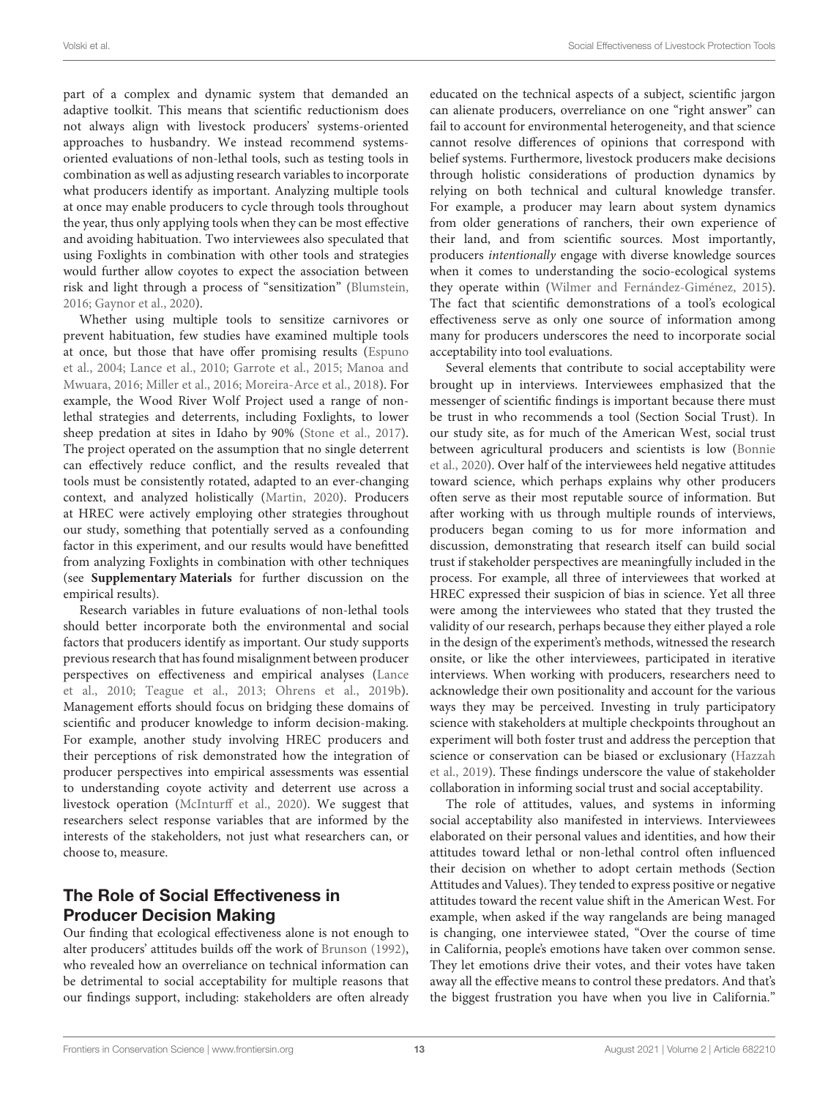part of a complex and dynamic system that demanded an adaptive toolkit. This means that scientific reductionism does not always align with livestock producers' systems-oriented approaches to husbandry. We instead recommend systemsoriented evaluations of non-lethal tools, such as testing tools in combination as well as adjusting research variables to incorporate what producers identify as important. Analyzing multiple tools at once may enable producers to cycle through tools throughout the year, thus only applying tools when they can be most effective and avoiding habituation. Two interviewees also speculated that using Foxlights in combination with other tools and strategies would further allow coyotes to expect the association between risk and light through a process of "sensitization" [\(Blumstein,](#page-14-17) [2016;](#page-14-17) [Gaynor et al., 2020\)](#page-15-31).

Whether using multiple tools to sensitize carnivores or prevent habituation, few studies have examined multiple tools at once, but those that have offer promising results (Espuno et al., [2004;](#page-15-32) [Lance et al., 2010;](#page-15-33) [Garrote et al., 2015;](#page-15-34) Manoa and Mwuara, [2016;](#page-15-35) [Miller et al., 2016;](#page-15-8) [Moreira-Arce et al., 2018\)](#page-15-7). For example, the Wood River Wolf Project used a range of nonlethal strategies and deterrents, including Foxlights, to lower sheep predation at sites in Idaho by 90% [\(Stone et al., 2017\)](#page-16-34). The project operated on the assumption that no single deterrent can effectively reduce conflict, and the results revealed that tools must be consistently rotated, adapted to an ever-changing context, and analyzed holistically [\(Martin, 2020\)](#page-15-13). Producers at HREC were actively employing other strategies throughout our study, something that potentially served as a confounding factor in this experiment, and our results would have benefitted from analyzing Foxlights in combination with other techniques (see **[Supplementary Materials](#page-14-11)** for further discussion on the empirical results).

Research variables in future evaluations of non-lethal tools should better incorporate both the environmental and social factors that producers identify as important. Our study supports previous research that has found misalignment between producer perspectives on effectiveness and empirical analyses (Lance et al., [2010;](#page-15-33) [Teague et al., 2013;](#page-16-35) [Ohrens et al., 2019b\)](#page-15-36). Management efforts should focus on bridging these domains of scientific and producer knowledge to inform decision-making. For example, another study involving HREC producers and their perceptions of risk demonstrated how the integration of producer perspectives into empirical assessments was essential to understanding coyote activity and deterrent use across a livestock operation [\(McInturff et al., 2020\)](#page-15-29). We suggest that researchers select response variables that are informed by the interests of the stakeholders, not just what researchers can, or choose to, measure.

# The Role of Social Effectiveness in Producer Decision Making

Our finding that ecological effectiveness alone is not enough to alter producers' attitudes builds off the work of [Brunson \(1992\)](#page-14-18), who revealed how an overreliance on technical information can be detrimental to social acceptability for multiple reasons that our findings support, including: stakeholders are often already educated on the technical aspects of a subject, scientific jargon can alienate producers, overreliance on one "right answer" can fail to account for environmental heterogeneity, and that science cannot resolve differences of opinions that correspond with belief systems. Furthermore, livestock producers make decisions through holistic considerations of production dynamics by relying on both technical and cultural knowledge transfer. For example, a producer may learn about system dynamics from older generations of ranchers, their own experience of their land, and from scientific sources. Most importantly, producers intentionally engage with diverse knowledge sources when it comes to understanding the socio-ecological systems they operate within [\(Wilmer and Fernández-Giménez, 2015\)](#page-16-13). The fact that scientific demonstrations of a tool's ecological effectiveness serve as only one source of information among many for producers underscores the need to incorporate social acceptability into tool evaluations.

Several elements that contribute to social acceptability were brought up in interviews. Interviewees emphasized that the messenger of scientific findings is important because there must be trust in who recommends a tool (Section Social Trust). In our study site, as for much of the American West, social trust between agricultural producers and scientists is low (Bonnie et al., [2020\)](#page-14-19). Over half of the interviewees held negative attitudes toward science, which perhaps explains why other producers often serve as their most reputable source of information. But after working with us through multiple rounds of interviews, producers began coming to us for more information and discussion, demonstrating that research itself can build social trust if stakeholder perspectives are meaningfully included in the process. For example, all three of interviewees that worked at HREC expressed their suspicion of bias in science. Yet all three were among the interviewees who stated that they trusted the validity of our research, perhaps because they either played a role in the design of the experiment's methods, witnessed the research onsite, or like the other interviewees, participated in iterative interviews. When working with producers, researchers need to acknowledge their own positionality and account for the various ways they may be perceived. Investing in truly participatory science with stakeholders at multiple checkpoints throughout an experiment will both foster trust and address the perception that science or conservation can be biased or exclusionary (Hazzah et al., [2019\)](#page-15-37). These findings underscore the value of stakeholder collaboration in informing social trust and social acceptability.

The role of attitudes, values, and systems in informing social acceptability also manifested in interviews. Interviewees elaborated on their personal values and identities, and how their attitudes toward lethal or non-lethal control often influenced their decision on whether to adopt certain methods (Section Attitudes and Values). They tended to express positive or negative attitudes toward the recent value shift in the American West. For example, when asked if the way rangelands are being managed is changing, one interviewee stated, "Over the course of time in California, people's emotions have taken over common sense. They let emotions drive their votes, and their votes have taken away all the effective means to control these predators. And that's the biggest frustration you have when you live in California."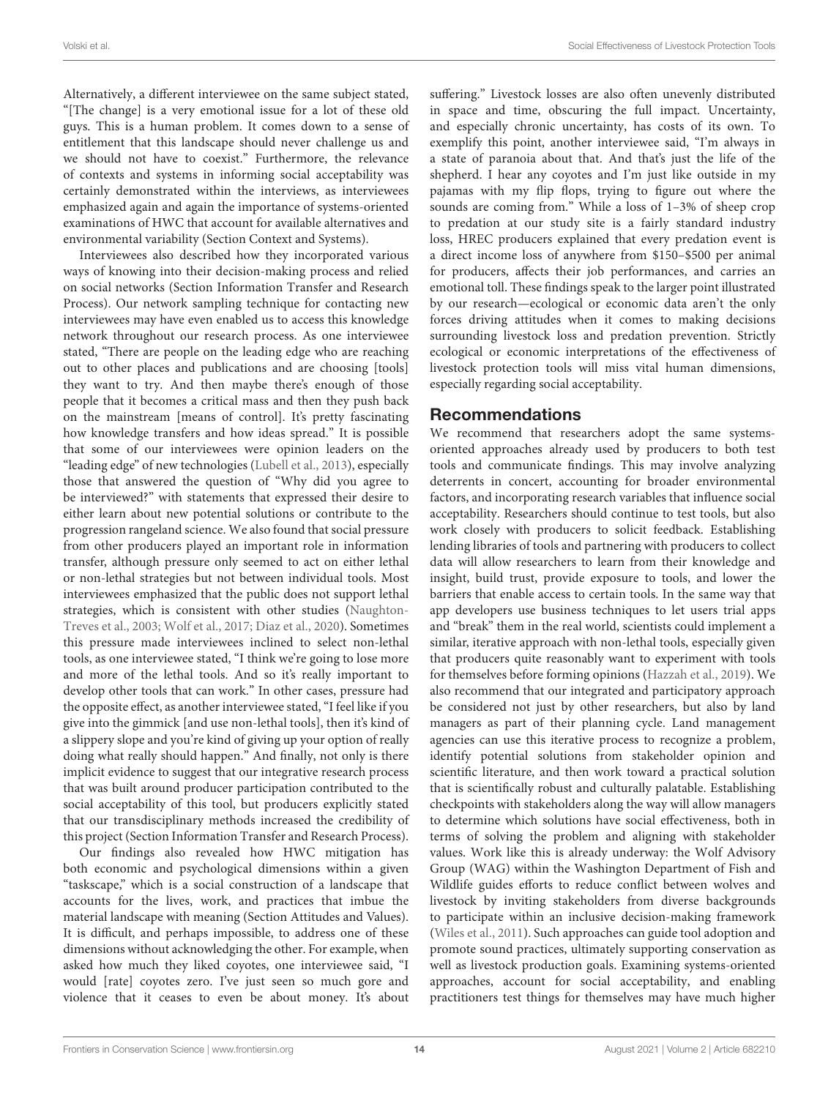Alternatively, a different interviewee on the same subject stated, "[The change] is a very emotional issue for a lot of these old guys. This is a human problem. It comes down to a sense of entitlement that this landscape should never challenge us and we should not have to coexist." Furthermore, the relevance of contexts and systems in informing social acceptability was certainly demonstrated within the interviews, as interviewees emphasized again and again the importance of systems-oriented examinations of HWC that account for available alternatives and environmental variability (Section Context and Systems).

Interviewees also described how they incorporated various ways of knowing into their decision-making process and relied on social networks (Section Information Transfer and Research Process). Our network sampling technique for contacting new interviewees may have even enabled us to access this knowledge network throughout our research process. As one interviewee stated, "There are people on the leading edge who are reaching out to other places and publications and are choosing [tools] they want to try. And then maybe there's enough of those people that it becomes a critical mass and then they push back on the mainstream [means of control]. It's pretty fascinating how knowledge transfers and how ideas spread." It is possible that some of our interviewees were opinion leaders on the "leading edge" of new technologies [\(Lubell et al., 2013\)](#page-15-23), especially those that answered the question of "Why did you agree to be interviewed?" with statements that expressed their desire to either learn about new potential solutions or contribute to the progression rangeland science. We also found that social pressure from other producers played an important role in information transfer, although pressure only seemed to act on either lethal or non-lethal strategies but not between individual tools. Most interviewees emphasized that the public does not support lethal strategies, which is consistent with other studies (Naughton-Treves et al., [2003;](#page-15-38) [Wolf et al., 2017;](#page-16-36) [Diaz et al., 2020\)](#page-14-20). Sometimes this pressure made interviewees inclined to select non-lethal tools, as one interviewee stated, "I think we're going to lose more and more of the lethal tools. And so it's really important to develop other tools that can work." In other cases, pressure had the opposite effect, as another interviewee stated, "I feel like if you give into the gimmick [and use non-lethal tools], then it's kind of a slippery slope and you're kind of giving up your option of really doing what really should happen." And finally, not only is there implicit evidence to suggest that our integrative research process that was built around producer participation contributed to the social acceptability of this tool, but producers explicitly stated that our transdisciplinary methods increased the credibility of this project (Section Information Transfer and Research Process).

Our findings also revealed how HWC mitigation has both economic and psychological dimensions within a given "taskscape," which is a social construction of a landscape that accounts for the lives, work, and practices that imbue the material landscape with meaning (Section Attitudes and Values). It is difficult, and perhaps impossible, to address one of these dimensions without acknowledging the other. For example, when asked how much they liked coyotes, one interviewee said, "I would [rate] coyotes zero. I've just seen so much gore and violence that it ceases to even be about money. It's about suffering." Livestock losses are also often unevenly distributed in space and time, obscuring the full impact. Uncertainty, and especially chronic uncertainty, has costs of its own. To exemplify this point, another interviewee said, "I'm always in a state of paranoia about that. And that's just the life of the shepherd. I hear any coyotes and I'm just like outside in my pajamas with my flip flops, trying to figure out where the sounds are coming from." While a loss of 1–3% of sheep crop to predation at our study site is a fairly standard industry loss, HREC producers explained that every predation event is a direct income loss of anywhere from \$150–\$500 per animal for producers, affects their job performances, and carries an emotional toll. These findings speak to the larger point illustrated by our research—ecological or economic data aren't the only forces driving attitudes when it comes to making decisions surrounding livestock loss and predation prevention. Strictly ecological or economic interpretations of the effectiveness of livestock protection tools will miss vital human dimensions, especially regarding social acceptability.

#### Recommendations

We recommend that researchers adopt the same systemsoriented approaches already used by producers to both test tools and communicate findings. This may involve analyzing deterrents in concert, accounting for broader environmental factors, and incorporating research variables that influence social acceptability. Researchers should continue to test tools, but also work closely with producers to solicit feedback. Establishing lending libraries of tools and partnering with producers to collect data will allow researchers to learn from their knowledge and insight, build trust, provide exposure to tools, and lower the barriers that enable access to certain tools. In the same way that app developers use business techniques to let users trial apps and "break" them in the real world, scientists could implement a similar, iterative approach with non-lethal tools, especially given that producers quite reasonably want to experiment with tools for themselves before forming opinions [\(Hazzah et al., 2019\)](#page-15-37). We also recommend that our integrated and participatory approach be considered not just by other researchers, but also by land managers as part of their planning cycle. Land management agencies can use this iterative process to recognize a problem, identify potential solutions from stakeholder opinion and scientific literature, and then work toward a practical solution that is scientifically robust and culturally palatable. Establishing checkpoints with stakeholders along the way will allow managers to determine which solutions have social effectiveness, both in terms of solving the problem and aligning with stakeholder values. Work like this is already underway: the Wolf Advisory Group (WAG) within the Washington Department of Fish and Wildlife guides efforts to reduce conflict between wolves and livestock by inviting stakeholders from diverse backgrounds to participate within an inclusive decision-making framework [\(Wiles et al., 2011\)](#page-16-37). Such approaches can guide tool adoption and promote sound practices, ultimately supporting conservation as well as livestock production goals. Examining systems-oriented approaches, account for social acceptability, and enabling practitioners test things for themselves may have much higher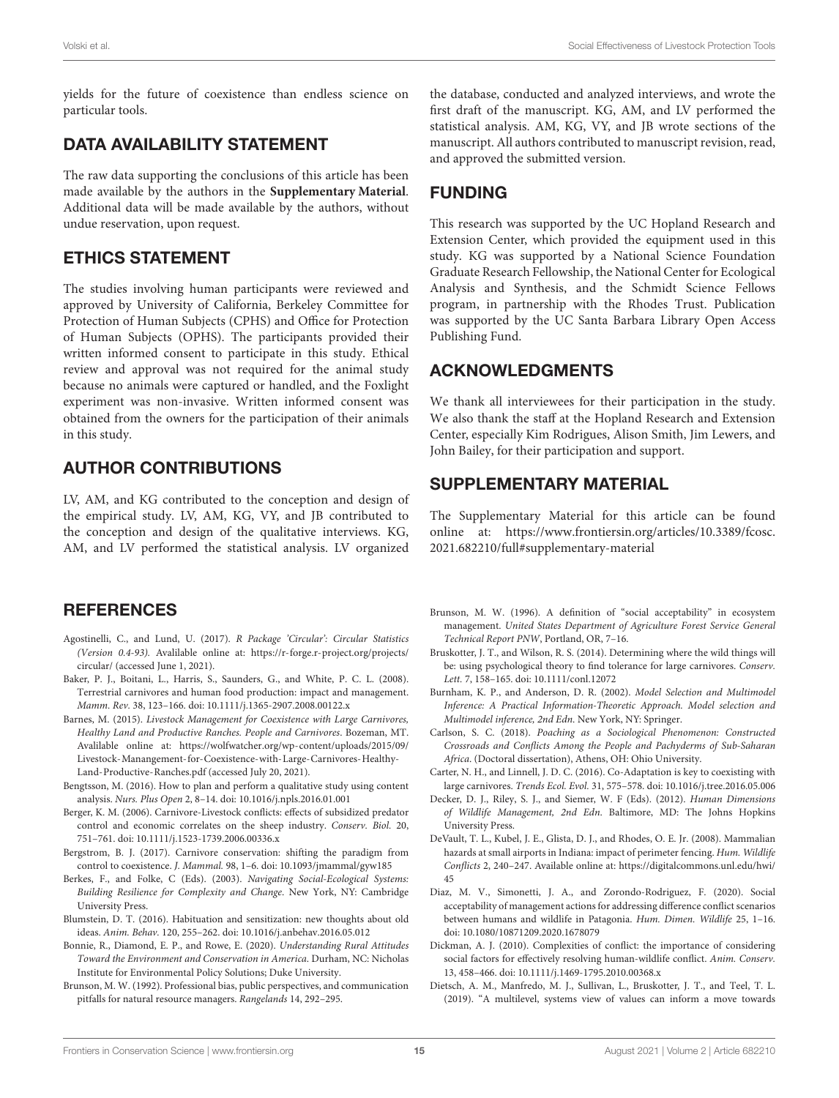yields for the future of coexistence than endless science on particular tools.

### DATA AVAILABILITY STATEMENT

The raw data supporting the conclusions of this article has been made available by the authors in the **[Supplementary Material](#page-14-11)**. Additional data will be made available by the authors, without undue reservation, upon request.

### ETHICS STATEMENT

The studies involving human participants were reviewed and approved by University of California, Berkeley Committee for Protection of Human Subjects (CPHS) and Office for Protection of Human Subjects (OPHS). The participants provided their written informed consent to participate in this study. Ethical review and approval was not required for the animal study because no animals were captured or handled, and the Foxlight experiment was non-invasive. Written informed consent was obtained from the owners for the participation of their animals in this study.

# AUTHOR CONTRIBUTIONS

LV, AM, and KG contributed to the conception and design of the empirical study. LV, AM, KG, VY, and JB contributed to the conception and design of the qualitative interviews. KG, AM, and LV performed the statistical analysis. LV organized

### **REFERENCES**

- <span id="page-14-16"></span>Agostinelli, C., and Lund, U. (2017). R Package 'Circular': Circular Statistics (Version 0.4-93). Avalilable online at: [https://r-forge.r-project.org/projects/](https://r-forge.r-project.org/projects/circular/) [circular/](https://r-forge.r-project.org/projects/circular/) (accessed June 1, 2021).
- <span id="page-14-5"></span>Baker, P. J., Boitani, L., Harris, S., Saunders, G., and White, P. C. L. (2008). Terrestrial carnivores and human food production: impact and management. Mamm. Rev. 38, 123–166. doi: [10.1111/j.1365-2907.2008.00122.x](https://doi.org/10.1111/j.1365-2907.2008.00122.x)
- <span id="page-14-3"></span>Barnes, M. (2015). Livestock Management for Coexistence with Large Carnivores, Healthy Land and Productive Ranches. People and Carnivores. Bozeman, MT. Avalilable online at: [https://wolfwatcher.org/wp-content/uploads/2015/09/](https://wolfwatcher.org/wp-content/uploads/2015/09/Livestock-Manangement-for-Coexistence-with-Large-Carnivores-Healthy-Land-Productive-Ranches.pdf) [Livestock-Manangement-for-Coexistence-with-Large-Carnivores-Healthy-](https://wolfwatcher.org/wp-content/uploads/2015/09/Livestock-Manangement-for-Coexistence-with-Large-Carnivores-Healthy-Land-Productive-Ranches.pdf)[Land-Productive-Ranches.pdf](https://wolfwatcher.org/wp-content/uploads/2015/09/Livestock-Manangement-for-Coexistence-with-Large-Carnivores-Healthy-Land-Productive-Ranches.pdf) (accessed July 20, 2021).
- <span id="page-14-12"></span>Bengtsson, M. (2016). How to plan and perform a qualitative study using content analysis. Nurs. Plus Open 2, 8–14. doi: [10.1016/j.npls.2016.01.001](https://doi.org/10.1016/j.npls.2016.01.001)
- <span id="page-14-2"></span>Berger, K. M. (2006). Carnivore-Livestock conflicts: effects of subsidized predator control and economic correlates on the sheep industry. Conserv. Biol. 20, 751–761. doi: [10.1111/j.1523-1739.2006.00336.x](https://doi.org/10.1111/j.1523-1739.2006.00336.x)
- <span id="page-14-4"></span>Bergstrom, B. J. (2017). Carnivore conservation: shifting the paradigm from control to coexistence. J. Mammal. 98, 1–6. doi: [10.1093/jmammal/gyw185](https://doi.org/10.1093/jmammal/gyw185)
- <span id="page-14-0"></span>Berkes, F., and Folke, C (Eds). (2003). Navigating Social-Ecological Systems: Building Resilience for Complexity and Change. New York, NY: Cambridge University Press.
- <span id="page-14-17"></span>Blumstein, D. T. (2016). Habituation and sensitization: new thoughts about old ideas. Anim. Behav. 120, 255–262. doi: [10.1016/j.anbehav.2016.05.012](https://doi.org/10.1016/j.anbehav.2016.05.012)
- <span id="page-14-19"></span>Bonnie, R., Diamond, E. P., and Rowe, E. (2020). Understanding Rural Attitudes Toward the Environment and Conservation in America. Durham, NC: Nicholas Institute for Environmental Policy Solutions; Duke University.
- <span id="page-14-18"></span>Brunson, M. W. (1992). Professional bias, public perspectives, and communication pitfalls for natural resource managers. Rangelands 14, 292–295.

the database, conducted and analyzed interviews, and wrote the first draft of the manuscript. KG, AM, and LV performed the statistical analysis. AM, KG, VY, and JB wrote sections of the manuscript. All authors contributed to manuscript revision, read, and approved the submitted version.

# FUNDING

This research was supported by the UC Hopland Research and Extension Center, which provided the equipment used in this study. KG was supported by a National Science Foundation Graduate Research Fellowship, the National Center for Ecological Analysis and Synthesis, and the Schmidt Science Fellows program, in partnership with the Rhodes Trust. Publication was supported by the UC Santa Barbara Library Open Access Publishing Fund.

# ACKNOWLEDGMENTS

We thank all interviewees for their participation in the study. We also thank the staff at the Hopland Research and Extension Center, especially Kim Rodrigues, Alison Smith, Jim Lewers, and John Bailey, for their participation and support.

# SUPPLEMENTARY MATERIAL

<span id="page-14-11"></span>The Supplementary Material for this article can be found [online at: https://www.frontiersin.org/articles/10.3389/fcosc.](https://www.frontiersin.org/articles/10.3389/fcosc.2021.682210/full#supplementary-material) 2021.682210/full#supplementary-material

- <span id="page-14-10"></span>Brunson, M. W. (1996). A definition of "social acceptability" in ecosystem management. United States Department of Agriculture Forest Service General Technical Report PNW, Portland, OR, 7–16.
- <span id="page-14-7"></span>Bruskotter, J. T., and Wilson, R. S. (2014). Determining where the wild things will be: using psychological theory to find tolerance for large carnivores. Conserv. Lett. 7, 158–165. doi: [10.1111/conl.12072](https://doi.org/10.1111/conl.12072)
- <span id="page-14-15"></span>Burnham, K. P., and Anderson, D. R. (2002). Model Selection and Multimodel Inference: A Practical Information-Theoretic Approach. Model selection and Multimodel inference, 2nd Edn. New York, NY: Springer.
- <span id="page-14-13"></span>Carlson, S. C. (2018). Poaching as a Sociological Phenomenon: Constructed Crossroads and Conflicts Among the People and Pachyderms of Sub-Saharan Africa. (Doctoral dissertation), Athens, OH: Ohio University.
- <span id="page-14-6"></span>Carter, N. H., and Linnell, J. D. C. (2016). Co-Adaptation is key to coexisting with large carnivores. Trends Ecol. Evol. 31, 575–578. doi: [10.1016/j.tree.2016.05.006](https://doi.org/10.1016/j.tree.2016.05.006)
- <span id="page-14-8"></span>Decker, D. J., Riley, S. J., and Siemer, W. F (Eds). (2012). Human Dimensions of Wildlife Management, 2nd Edn. Baltimore, MD: The Johns Hopkins University Press.
- <span id="page-14-14"></span>DeVault, T. L., Kubel, J. E., Glista, D. J., and Rhodes, O. E. Jr. (2008). Mammalian hazards at small airports in Indiana: impact of perimeter fencing. Hum. Wildlife Conflicts 2, 240–247. Available online at: [https://digitalcommons.unl.edu/hwi/](https://digitalcommons.unl.edu/hwi/45) [45](https://digitalcommons.unl.edu/hwi/45)
- <span id="page-14-20"></span>Diaz, M. V., Simonetti, J. A., and Zorondo-Rodriguez, F. (2020). Social acceptability of management actions for addressing difference conflict scenarios between humans and wildlife in Patagonia. Hum. Dimen. Wildlife 25, 1–16. doi: [10.1080/10871209.2020.1678079](https://doi.org/10.1080/10871209.2020.1678079)
- <span id="page-14-1"></span>Dickman, A. J. (2010). Complexities of conflict: the importance of considering social factors for effectively resolving human-wildlife conflict. Anim. Conserv. 13, 458–466. doi: [10.1111/j.1469-1795.2010.00368.x](https://doi.org/10.1111/j.1469-1795.2010.00368.x)
- <span id="page-14-9"></span>Dietsch, A. M., Manfredo, M. J., Sullivan, L., Bruskotter, J. T., and Teel, T. L. (2019). "A multilevel, systems view of values can inform a move towards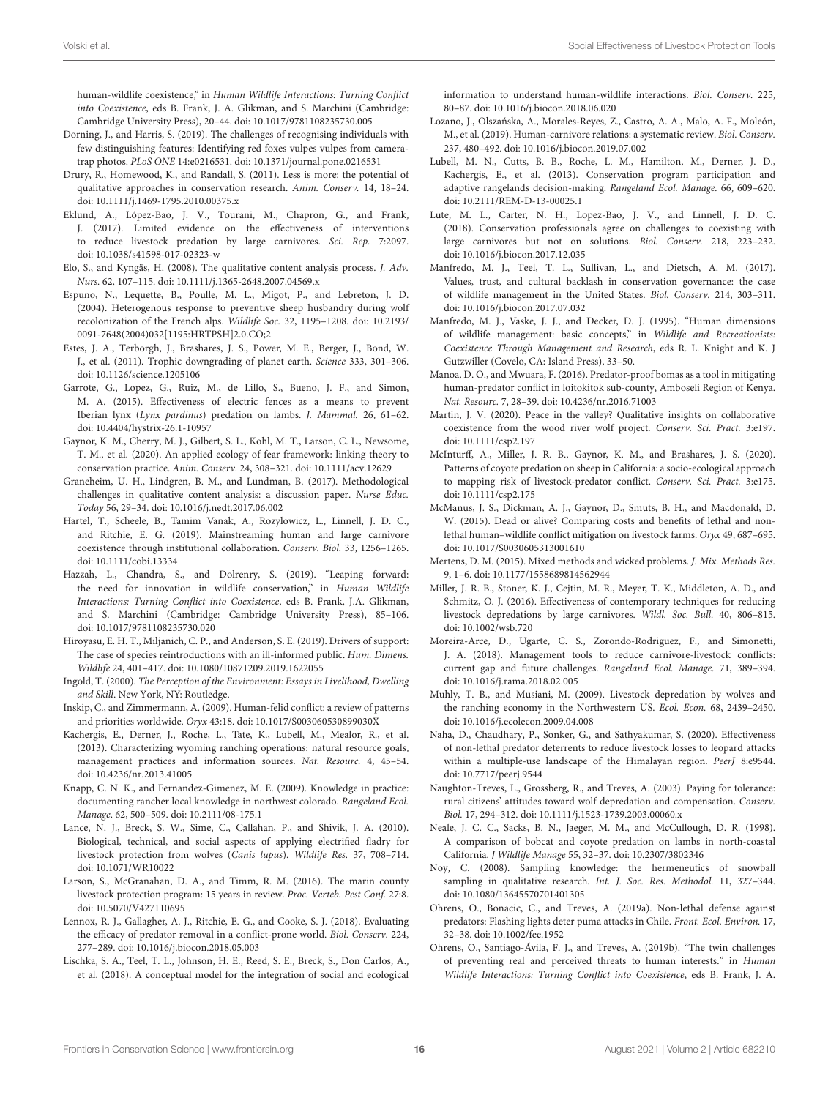human-wildlife coexistence," in Human Wildlife Interactions: Turning Conflict into Coexistence, eds B. Frank, J. A. Glikman, and S. Marchini (Cambridge: Cambridge University Press), 20–44. doi: [10.1017/9781108235730.005](https://doi.org/10.1017/9781108235730.005)

- <span id="page-15-30"></span>Dorning, J., and Harris, S. (2019). The challenges of recognising individuals with few distinguishing features: Identifying red foxes vulpes vulpes from cameratrap photos. PLoS ONE 14:e0216531. doi: [10.1371/journal.pone.0216531](https://doi.org/10.1371/journal.pone.0216531)
- <span id="page-15-12"></span>Drury, R., Homewood, K., and Randall, S. (2011). Less is more: the potential of qualitative approaches in conservation research. Anim. Conserv. 14, 18–24. doi: [10.1111/j.1469-1795.2010.00375.x](https://doi.org/10.1111/j.1469-1795.2010.00375.x)
- <span id="page-15-9"></span>Eklund, A., López-Bao, J. V., Tourani, M., Chapron, G., and Frank, J. (2017). Limited evidence on the effectiveness of interventions to reduce livestock predation by large carnivores. Sci. Rep. 7:2097. doi: [10.1038/s41598-017-02323-w](https://doi.org/10.1038/s41598-017-02323-w)
- <span id="page-15-26"></span>Elo, S., and Kyngäs, H. (2008). The qualitative content analysis process. J. Adv. Nurs. 62, 107–115. doi: [10.1111/j.1365-2648.2007.04569.x](https://doi.org/10.1111/j.1365-2648.2007.04569.x)
- <span id="page-15-32"></span>Espuno, N., Lequette, B., Poulle, M. L., Migot, P., and Lebreton, J. D. (2004). Heterogenous response to preventive sheep husbandry during wolf recolonization of the French alps. Wildlife Soc. 32, 1195–1208. doi: 10.2193/ [0091-7648\(2004\)032\[1195:HRTPSH\]2.0.CO;2](https://doi.org/10.2193/0091-7648(2004)032[1195:HRTPSH]2.0.CO;2)
- <span id="page-15-0"></span>Estes, J. A., Terborgh, J., Brashares, J. S., Power, M. E., Berger, J., Bond, W. J., et al. (2011). Trophic downgrading of planet earth. Science 333, 301–306. doi: [10.1126/science.1205106](https://doi.org/10.1126/science.1205106)
- <span id="page-15-34"></span>Garrote, G., Lopez, G., Ruiz, M., de Lillo, S., Bueno, J. F., and Simon, M. A. (2015). Effectiveness of electric fences as a means to prevent Iberian lynx (Lynx pardinus) predation on lambs. J. Mammal. 26, 61–62. doi: [10.4404/hystrix-26.1-10957](https://doi.org/10.4404/hystrix-26.1-10957)
- <span id="page-15-31"></span>Gaynor, K. M., Cherry, M. J., Gilbert, S. L., Kohl, M. T., Larson, C. L., Newsome, T. M., et al. (2020). An applied ecology of fear framework: linking theory to conservation practice. Anim. Conserv. 24, 308–321. doi: [10.1111/acv.12629](https://doi.org/10.1111/acv.12629)
- <span id="page-15-27"></span>Graneheim, U. H., Lindgren, B. M., and Lundman, B. (2017). Methodological challenges in qualitative content analysis: a discussion paper. Nurse Educ. Today 56, 29–34. doi: [10.1016/j.nedt.2017.06.002](https://doi.org/10.1016/j.nedt.2017.06.002)
- <span id="page-15-16"></span>Hartel, T., Scheele, B., Tamim Vanak, A., Rozylowicz, L., Linnell, J. D. C., and Ritchie, E. G. (2019). Mainstreaming human and large carnivore coexistence through institutional collaboration. Conserv. Biol. 33, 1256–1265. doi: [10.1111/cobi.13334](https://doi.org/10.1111/cobi.13334)
- <span id="page-15-37"></span>Hazzah, L., Chandra, S., and Dolrenry, S. (2019). "Leaping forward: the need for innovation in wildlife conservation," in Human Wildlife Interactions: Turning Conflict into Coexistence, eds B. Frank, J.A. Glikman, and S. Marchini (Cambridge: Cambridge University Press), 85–106. doi: [10.1017/9781108235730.020](https://doi.org/10.1017/9781108235730.020)
- <span id="page-15-18"></span>Hiroyasu, E. H. T., Miljanich, C. P., and Anderson, S. E. (2019). Drivers of support: The case of species reintroductions with an ill-informed public. Hum. Dimens. Wildlife 24, 401–417. doi: [10.1080/10871209.2019.1622055](https://doi.org/10.1080/10871209.2019.1622055)
- <span id="page-15-20"></span>Ingold, T. (2000). The Perception of the Environment: Essays in Livelihood, Dwelling and Skill. New York, NY: Routledge.
- <span id="page-15-3"></span>Inskip, C., and Zimmermann, A. (2009). Human-felid conflict: a review of patterns and priorities worldwide. Oryx 43:18. doi: [10.1017/S003060530899030X](https://doi.org/10.1017/S003060530899030X)
- <span id="page-15-22"></span>Kachergis, E., Derner, J., Roche, L., Tate, K., Lubell, M., Mealor, R., et al. (2013). Characterizing wyoming ranching operations: natural resource goals, management practices and information sources. Nat. Resourc. 4, 45–54. doi: [10.4236/nr.2013.41005](https://doi.org/10.4236/nr.2013.41005)
- <span id="page-15-10"></span>Knapp, C. N. K., and Fernandez-Gimenez, M. E. (2009). Knowledge in practice: documenting rancher local knowledge in northwest colorado. Rangeland Ecol. Manage. 62, 500–509. doi: [10.2111/08-175.1](https://doi.org/10.2111/08-175.1)
- <span id="page-15-33"></span>Lance, N. J., Breck, S. W., Sime, C., Callahan, P., and Shivik, J. A. (2010). Biological, technical, and social aspects of applying electrified fladry for livestock protection from wolves (Canis lupus). Wildlife Res. 37, 708–714. doi: [10.1071/WR10022](https://doi.org/10.1071/WR10022)
- <span id="page-15-24"></span>Larson, S., McGranahan, D. A., and Timm, R. M. (2016). The marin county livestock protection program: 15 years in review. Proc. Verteb. Pest Conf. 27:8. doi: [10.5070/V427110695](https://doi.org/10.5070/V427110695)
- <span id="page-15-6"></span>Lennox, R. J., Gallagher, A. J., Ritchie, E. G., and Cooke, S. J. (2018). Evaluating the efficacy of predator removal in a conflict-prone world. Biol. Conserv. 224, 277–289. doi: [10.1016/j.biocon.2018.05.003](https://doi.org/10.1016/j.biocon.2018.05.003)
- <span id="page-15-1"></span>Lischka, S. A., Teel, T. L., Johnson, H. E., Reed, S. E., Breck, S., Don Carlos, A., et al. (2018). A conceptual model for the integration of social and ecological

information to understand human-wildlife interactions. Biol. Conserv. 225, 80–87. doi: [10.1016/j.biocon.2018.06.020](https://doi.org/10.1016/j.biocon.2018.06.020)

- <span id="page-15-11"></span>Lozano, J., Olszańska, A., Morales-Reyes, Z., Castro, A. A., Malo, A. F., Moleón, M., et al. (2019). Human-carnivore relations: a systematic review. Biol. Conserv. 237, 480–492. doi: [10.1016/j.biocon.2019.07.002](https://doi.org/10.1016/j.biocon.2019.07.002)
- <span id="page-15-23"></span>Lubell, M. N., Cutts, B. B., Roche, L. M., Hamilton, M., Derner, J. D., Kachergis, E., et al. (2013). Conservation program participation and adaptive rangelands decision-making. Rangeland Ecol. Manage. 66, 609–620. doi: [10.2111/REM-D-13-00025.1](https://doi.org/10.2111/REM-D-13-00025.1)
- <span id="page-15-4"></span>Lute, M. L., Carter, N. H., Lopez-Bao, J. V., and Linnell, J. D. C. (2018). Conservation professionals agree on challenges to coexisting with large carnivores but not on solutions. Biol. Conserv. 218, 223–232. doi: [10.1016/j.biocon.2017.12.035](https://doi.org/10.1016/j.biocon.2017.12.035)
- <span id="page-15-19"></span>Manfredo, M. J., Teel, T. L., Sullivan, L., and Dietsch, A. M. (2017). Values, trust, and cultural backlash in conservation governance: the case of wildlife management in the United States. Biol. Conserv. 214, 303–311. doi: [10.1016/j.biocon.2017.07.032](https://doi.org/10.1016/j.biocon.2017.07.032)
- <span id="page-15-17"></span>Manfredo, M. J., Vaske, J. J., and Decker, D. J. (1995). "Human dimensions of wildlife management: basic concepts," in Wildlife and Recreationists: Coexistence Through Management and Research, eds R. L. Knight and K. J Gutzwiller (Covelo, CA: Island Press), 33–50.
- <span id="page-15-35"></span>Manoa, D. O., and Mwuara, F. (2016). Predator-proof bomas as a tool in mitigating human-predator conflict in loitokitok sub-county, Amboseli Region of Kenya. Nat. Resourc. 7, 28–39. doi: [10.4236/nr.2016.71003](https://doi.org/10.4236/nr.2016.71003)
- <span id="page-15-13"></span>Martin, J. V. (2020). Peace in the valley? Qualitative insights on collaborative coexistence from the wood river wolf project. Conserv. Sci. Pract. 3:e197. doi: [10.1111/csp2.197](https://doi.org/10.1111/csp2.197)
- <span id="page-15-29"></span>McInturff, A., Miller, J. R. B., Gaynor, K. M., and Brashares, J. S. (2020). Patterns of coyote predation on sheep in California: a socio-ecological approach to mapping risk of livestock-predator conflict. Conserv. Sci. Pract. 3:e175. doi: [10.1111/csp2.175](https://doi.org/10.1111/csp2.175)
- <span id="page-15-5"></span>McManus, J. S., Dickman, A. J., Gaynor, D., Smuts, B. H., and Macdonald, D. W. (2015). Dead or alive? Comparing costs and benefits of lethal and nonlethal human–wildlife conflict mitigation on livestock farms. Oryx 49, 687–695. doi: [10.1017/S0030605313001610](https://doi.org/10.1017/S0030605313001610)
- <span id="page-15-21"></span>Mertens, D. M. (2015). Mixed methods and wicked problems. J. Mix. Methods Res. 9, 1–6. doi: [10.1177/1558689814562944](https://doi.org/10.1177/1558689814562944)
- <span id="page-15-8"></span>Miller, J. R. B., Stoner, K. J., Cejtin, M. R., Meyer, T. K., Middleton, A. D., and Schmitz, O. J. (2016). Effectiveness of contemporary techniques for reducing livestock depredations by large carnivores. Wildl. Soc. Bull. 40, 806–815. doi: [10.1002/wsb.720](https://doi.org/10.1002/wsb.720)
- <span id="page-15-7"></span>Moreira-Arce, D., Ugarte, C. S., Zorondo-Rodriguez, F., and Simonetti, J. A. (2018). Management tools to reduce carnivore-livestock conflicts: current gap and future challenges. Rangeland Ecol. Manage. 71, 389–394. doi: [10.1016/j.rama.2018.02.005](https://doi.org/10.1016/j.rama.2018.02.005)
- <span id="page-15-2"></span>Muhly, T. B., and Musiani, M. (2009). Livestock depredation by wolves and the ranching economy in the Northwestern US. Ecol. Econ. 68, 2439–2450. doi: [10.1016/j.ecolecon.2009.04.008](https://doi.org/10.1016/j.ecolecon.2009.04.008)
- <span id="page-15-15"></span>Naha, D., Chaudhary, P., Sonker, G., and Sathyakumar, S. (2020). Effectiveness of non-lethal predator deterrents to reduce livestock losses to leopard attacks within a multiple-use landscape of the Himalayan region. PeerJ 8:e9544. doi: [10.7717/peerj.9544](https://doi.org/10.7717/peerj.9544)
- <span id="page-15-38"></span>Naughton-Treves, L., Grossberg, R., and Treves, A. (2003). Paying for tolerance: rural citizens' attitudes toward wolf depredation and compensation. Conserv. Biol. 17, 294–312. doi: [10.1111/j.1523-1739.2003.00060.x](https://doi.org/10.1111/j.1523-1739.2003.00060.x)
- <span id="page-15-28"></span>Neale, J. C. C., Sacks, B. N., Jaeger, M. M., and McCullough, D. R. (1998). A comparison of bobcat and coyote predation on lambs in north-coastal California. J Wildlife Manage 55, 32–37. doi: [10.2307/3802346](https://doi.org/10.2307/3802346)
- <span id="page-15-25"></span>Noy, C. (2008). Sampling knowledge: the hermeneutics of snowball sampling in qualitative research. Int. J. Soc. Res. Methodol. 11, 327–344. doi: [10.1080/13645570701401305](https://doi.org/10.1080/13645570701401305)
- <span id="page-15-14"></span>Ohrens, O., Bonacic, C., and Treves, A. (2019a). Non-lethal defense against predators: Flashing lights deter puma attacks in Chile. Front. Ecol. Environ. 17, 32–38. doi: [10.1002/fee.1952](https://doi.org/10.1002/fee.1952)
- <span id="page-15-36"></span>Ohrens, O., Santiago-Ávila, F. J., and Treves, A. (2019b). "The twin challenges of preventing real and perceived threats to human interests." in Human Wildlife Interactions: Turning Conflict into Coexistence, eds B. Frank, J. A.